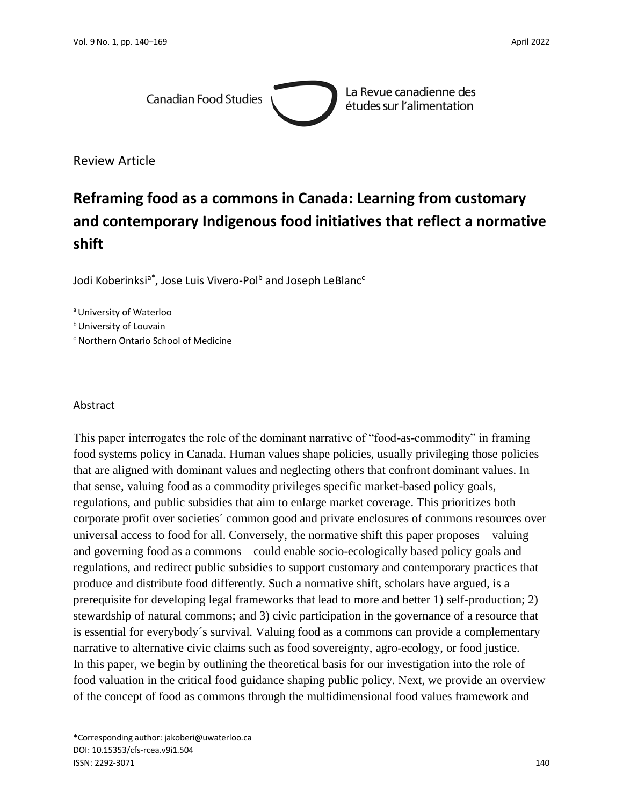

La Revue canadienne des études sur l'alimentation

Review Article

# **Reframing food as a commons in Canada: Learning from customary and contemporary Indigenous food initiatives that reflect a normative shift**

Jodi Koberinksi<sup>a\*</sup>, Jose Luis Vivero-Pol<sup>b</sup> and Joseph LeBlanc<sup>c</sup>

a University of Waterloo

**b** University of Louvain

<sup>c</sup> Northern Ontario School of Medicine

#### Abstract

This paper interrogates the role of the dominant narrative of "food-as-commodity" in framing food systems policy in Canada. Human values shape policies, usually privileging those policies that are aligned with dominant values and neglecting others that confront dominant values. In that sense, valuing food as a commodity privileges specific market-based policy goals, regulations, and public subsidies that aim to enlarge market coverage. This prioritizes both corporate profit over societies´ common good and private enclosures of commons resources over universal access to food for all. Conversely, the normative shift this paper proposes—valuing and governing food as a commons—could enable socio-ecologically based policy goals and regulations, and redirect public subsidies to support customary and contemporary practices that produce and distribute food differently. Such a normative shift, scholars have argued, is a prerequisite for developing legal frameworks that lead to more and better 1) self-production; 2) stewardship of natural commons; and 3) civic participation in the governance of a resource that is essential for everybody´s survival. Valuing food as a commons can provide a complementary narrative to alternative civic claims such as food sovereignty, agro-ecology, or food justice. In this paper, we begin by outlining the theoretical basis for our investigation into the role of food valuation in the critical food guidance shaping public policy. Next, we provide an overview of the concept of food as commons through the multidimensional food values framework and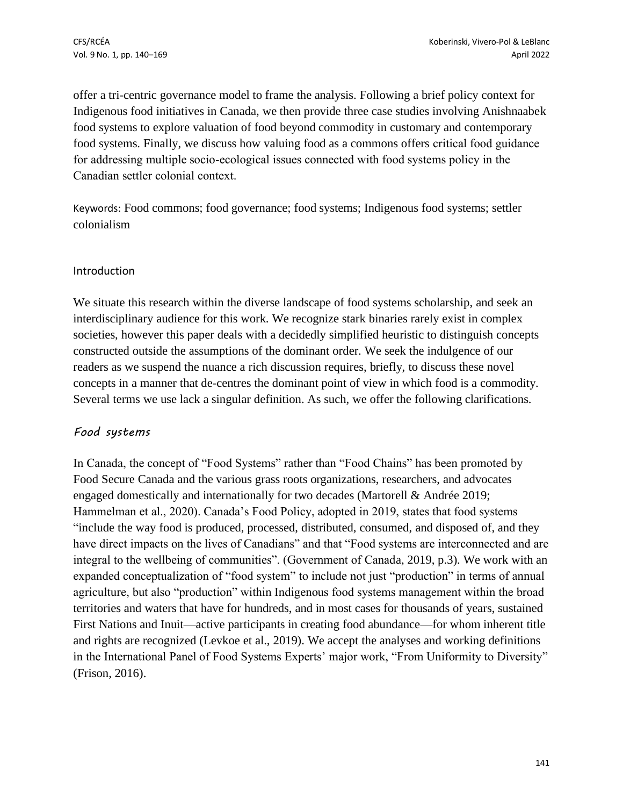offer a tri-centric governance model to frame the analysis. Following a brief policy context for Indigenous food initiatives in Canada, we then provide three case studies involving Anishnaabek food systems to explore valuation of food beyond commodity in customary and contemporary food systems. Finally, we discuss how valuing food as a commons offers critical food guidance for addressing multiple socio-ecological issues connected with food systems policy in the Canadian settler colonial context.

Keywords: Food commons; food governance; food systems; Indigenous food systems; settler colonialism

## Introduction

We situate this research within the diverse landscape of food systems scholarship, and seek an interdisciplinary audience for this work. We recognize stark binaries rarely exist in complex societies, however this paper deals with a decidedly simplified heuristic to distinguish concepts constructed outside the assumptions of the dominant order. We seek the indulgence of our readers as we suspend the nuance a rich discussion requires, briefly, to discuss these novel concepts in a manner that de-centres the dominant point of view in which food is a commodity. Several terms we use lack a singular definition. As such, we offer the following clarifications.

## *Food systems*

In Canada, the concept of "Food Systems" rather than "Food Chains" has been promoted by Food Secure Canada and the various grass roots organizations, researchers, and advocates engaged domestically and internationally for two decades (Martorell & Andrée 2019; Hammelman et al., 2020). Canada's Food Policy, adopted in 2019, states that food systems "include the way food is produced, processed, distributed, consumed, and disposed of, and they have direct impacts on the lives of Canadians" and that "Food systems are interconnected and are integral to the wellbeing of communities". (Government of Canada, 2019, p.3). We work with an expanded conceptualization of "food system" to include not just "production" in terms of annual agriculture, but also "production" within Indigenous food systems management within the broad territories and waters that have for hundreds, and in most cases for thousands of years, sustained First Nations and Inuit—active participants in creating food abundance—for whom inherent title and rights are recognized (Levkoe et al., 2019). We accept the analyses and working definitions in the International Panel of Food Systems Experts' major work, "From Uniformity to Diversity" (Frison, 2016).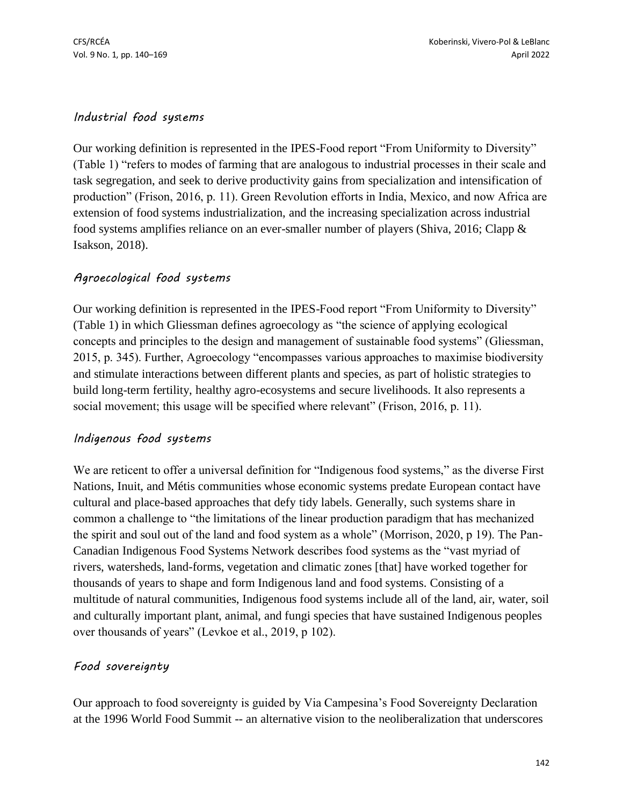## *Industrial food sys*t*ems*

Our working definition is represented in the IPES-Food report "From Uniformity to Diversity" (Table 1) "refers to modes of farming that are analogous to industrial processes in their scale and task segregation, and seek to derive productivity gains from specialization and intensification of production" (Frison, 2016, p. 11). Green Revolution efforts in India, Mexico, and now Africa are extension of food systems industrialization, and the increasing specialization across industrial food systems amplifies reliance on an ever-smaller number of players (Shiva, 2016; Clapp & Isakson, 2018).

## *Agroecological food systems*

Our working definition is represented in the IPES-Food report "From Uniformity to Diversity" (Table 1) in which Gliessman defines agroecology as "the science of applying ecological concepts and principles to the design and management of sustainable food systems" (Gliessman, 2015, p. 345). Further, Agroecology "encompasses various approaches to maximise biodiversity and stimulate interactions between different plants and species, as part of holistic strategies to build long-term fertility, healthy agro-ecosystems and secure livelihoods. It also represents a social movement; this usage will be specified where relevant" (Frison, 2016, p. 11).

## *Indigenous food systems*

We are reticent to offer a universal definition for "Indigenous food systems," as the diverse First Nations, Inuit, and Métis communities whose economic systems predate European contact have cultural and place-based approaches that defy tidy labels. Generally, such systems share in common a challenge to "the limitations of the linear production paradigm that has mechanized the spirit and soul out of the land and food system as a whole" (Morrison, 2020, p 19). The Pan-Canadian Indigenous Food Systems Network describes food systems as the "vast myriad of rivers, watersheds, land-forms, vegetation and climatic zones [that] have worked together for thousands of years to shape and form Indigenous land and food systems. Consisting of a multitude of natural communities, Indigenous food systems include all of the land, air, water, soil and culturally important plant, animal, and fungi species that have sustained Indigenous peoples over thousands of years" (Levkoe et al., 2019, p 102).

## *Food sovereignty*

Our approach to food sovereignty is guided by Via Campesina's Food Sovereignty Declaration at the 1996 World Food Summit -- an alternative vision to the neoliberalization that underscores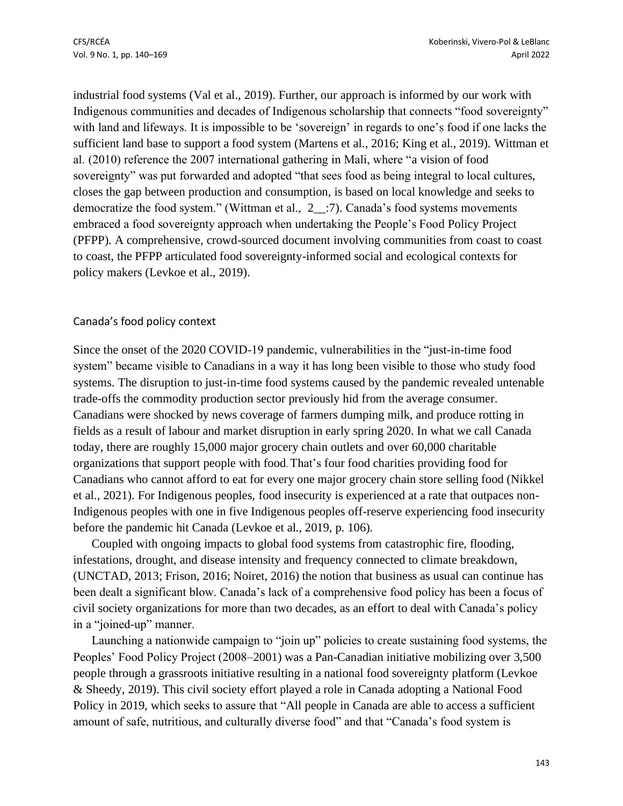industrial food systems (Val et al., 2019). Further, our approach is informed by our work with Indigenous communities and decades of Indigenous scholarship that connects "food sovereignty" with land and lifeways. It is impossible to be 'sovereign' in regards to one's food if one lacks the sufficient land base to support a food system (Martens et al., 2016; King et al., 2019). Wittman et al. (2010) reference the 2007 international gathering in Mali, where "a vision of food sovereignty" was put forwarded and adopted "that sees food as being integral to local cultures, closes the gap between production and consumption, is based on local knowledge and seeks to democratize the food system." (Wittman et al., 2\_\_:7). Canada's food systems movements embraced a food sovereignty approach when undertaking the People's Food Policy Project (PFPP). A comprehensive, crowd-sourced document involving communities from coast to coast to coast, the PFPP articulated food sovereignty-informed social and ecological contexts for policy makers (Levkoe et al., 2019).

#### Canada's food policy context

Since the onset of the 2020 COVID-19 pandemic, vulnerabilities in the "just-in-time food system" became visible to Canadians in a way it has long been visible to those who study food systems. The disruption to just-in-time food systems caused by the pandemic revealed untenable trade-offs the commodity production sector previously hid from the average consumer. Canadians were shocked by news coverage of farmers dumping milk, and produce rotting in fields as a result of labour and market disruption in early spring 2020. In what we call Canada today, there are roughly 15,000 major grocery chain outlets and over 60,000 charitable organizations that support people with food. That's four food charities providing food for Canadians who cannot afford to eat for every one major grocery chain store selling food (Nikkel et al., 2021). For Indigenous peoples, food insecurity is experienced at a rate that outpaces non-Indigenous peoples with one in five Indigenous peoples off-reserve experiencing food insecurity before the pandemic hit Canada (Levkoe et al., 2019, p. 106).

Coupled with ongoing impacts to global food systems from catastrophic fire, flooding, infestations, drought, and disease intensity and frequency connected to climate breakdown, (UNCTAD, 2013; Frison, 2016; Noiret, 2016) the notion that business as usual can continue has been dealt a significant blow. Canada's lack of a comprehensive food policy has been a focus of civil society organizations for more than two decades, as an effort to deal with Canada's policy in a "joined-up" manner.

Launching a nationwide campaign to "join up" policies to create sustaining food systems, the Peoples' Food Policy Project (2008–2001) was a Pan-Canadian initiative mobilizing over 3,500 people through a grassroots initiative resulting in a national food sovereignty platform (Levkoe & Sheedy, 2019). This civil society effort played a role in Canada adopting a National Food Policy in 2019, which seeks to assure that "All people in Canada are able to access a sufficient amount of safe, nutritious, and culturally diverse food" and that "Canada's food system is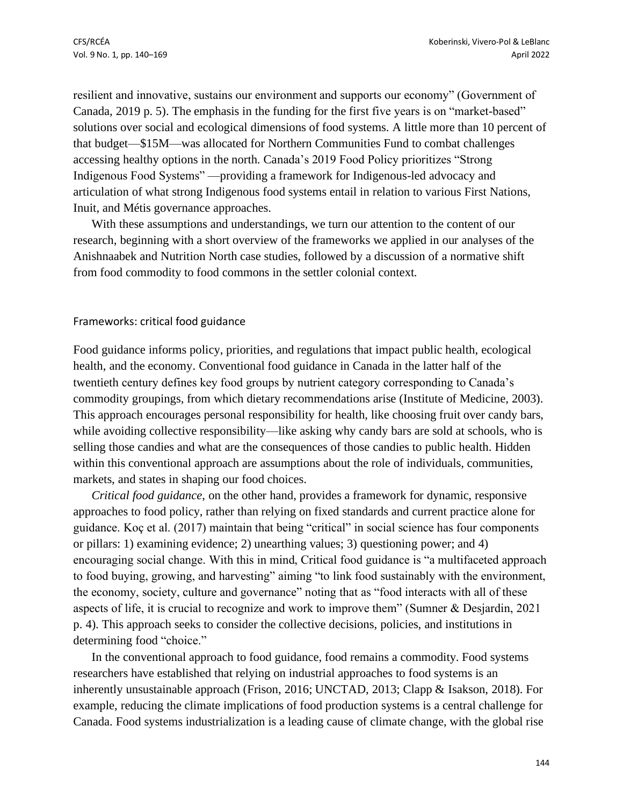resilient and innovative, sustains our environment and supports our economy" (Government of Canada, 2019 p. 5). The emphasis in the funding for the first five years is on "market-based" solutions over social and ecological dimensions of food systems. A little more than 10 percent of that budget—\$15M—was allocated for Northern Communities Fund to combat challenges accessing healthy options in the north. Canada's 2019 Food Policy prioritizes "Strong Indigenous Food Systems" —providing a framework for Indigenous-led advocacy and articulation of what strong Indigenous food systems entail in relation to various First Nations, Inuit, and Métis governance approaches.

With these assumptions and understandings, we turn our attention to the content of our research, beginning with a short overview of the frameworks we applied in our analyses of the Anishnaabek and Nutrition North case studies, followed by a discussion of a normative shift from food commodity to food commons in the settler colonial context.

#### Frameworks: critical food guidance

Food guidance informs policy, priorities, and regulations that impact public health, ecological health, and the economy. Conventional food guidance in Canada in the latter half of the twentieth century defines key food groups by nutrient category corresponding to Canada's commodity groupings, from which dietary recommendations arise (Institute of Medicine, 2003). This approach encourages personal responsibility for health, like choosing fruit over candy bars, while avoiding collective responsibility—like asking why candy bars are sold at schools, who is selling those candies and what are the consequences of those candies to public health. Hidden within this conventional approach are assumptions about the role of individuals, communities, markets, and states in shaping our food choices.

*Critical food guidance*, on the other hand, provides a framework for dynamic, responsive approaches to food policy, rather than relying on fixed standards and current practice alone for guidance. Koç et al. (2017) maintain that being "critical" in social science has four components or pillars: 1) examining evidence; 2) unearthing values; 3) questioning power; and 4) encouraging social change. With this in mind, Critical food guidance is "a multifaceted approach to food buying, growing, and harvesting" aiming "to link food sustainably with the environment, the economy, society, culture and governance" noting that as "food interacts with all of these aspects of life, it is crucial to recognize and work to improve them" (Sumner & Desjardin, 2021 p. 4). This approach seeks to consider the collective decisions, policies, and institutions in determining food "choice."

In the conventional approach to food guidance, food remains a commodity. Food systems researchers have established that relying on industrial approaches to food systems is an inherently unsustainable approach (Frison, 2016; UNCTAD, 2013; Clapp & Isakson, 2018). For example, reducing the climate implications of food production systems is a central challenge for Canada. Food systems industrialization is a leading cause of climate change, with the global rise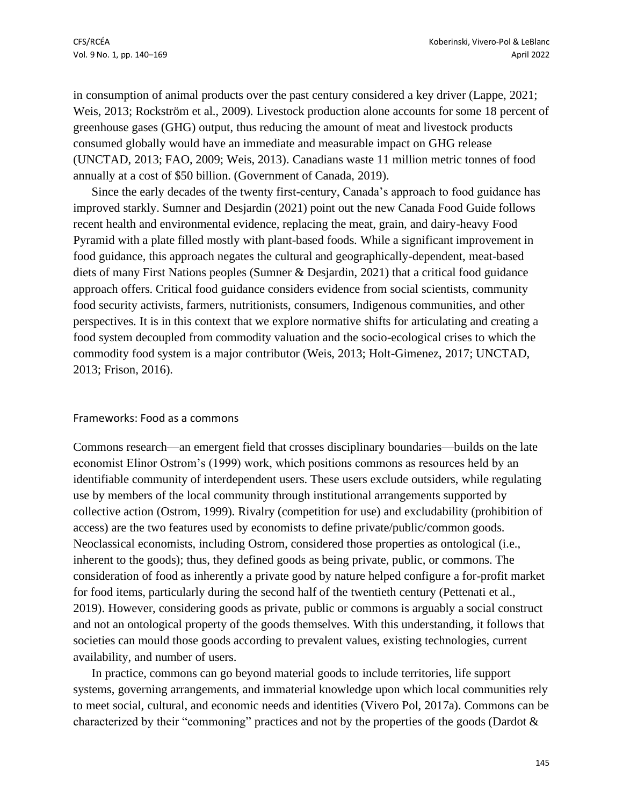in consumption of animal products over the past century considered a key driver (Lappe, 2021; Weis, 2013; Rockström et al., 2009). Livestock production alone accounts for some 18 percent of greenhouse gases (GHG) output, thus reducing the amount of meat and livestock products consumed globally would have an immediate and measurable impact on GHG release (UNCTAD, 2013; FAO, 2009; Weis, 2013). Canadians waste 11 million metric tonnes of food annually at a cost of \$50 billion. (Government of Canada, 2019).

Since the early decades of the twenty first-century, Canada's approach to food guidance has improved starkly. Sumner and Desjardin (2021) point out the new Canada Food Guide follows recent health and environmental evidence, replacing the meat, grain, and dairy-heavy Food Pyramid with a plate filled mostly with plant-based foods. While a significant improvement in food guidance, this approach negates the cultural and geographically-dependent, meat-based diets of many First Nations peoples (Sumner & Desjardin, 2021) that a critical food guidance approach offers. Critical food guidance considers evidence from social scientists, community food security activists, farmers, nutritionists, consumers, Indigenous communities, and other perspectives. It is in this context that we explore normative shifts for articulating and creating a food system decoupled from commodity valuation and the socio-ecological crises to which the commodity food system is a major contributor (Weis, 2013; Holt-Gimenez, 2017; UNCTAD, 2013; Frison, 2016).

#### Frameworks: Food as a commons

Commons research—an emergent field that crosses disciplinary boundaries—builds on the late economist Elinor Ostrom's (1999) work, which positions commons as resources held by an identifiable community of interdependent users. These users exclude outsiders, while regulating use by members of the local community through institutional arrangements supported by collective action (Ostrom, 1999). Rivalry (competition for use) and excludability (prohibition of access) are the two features used by economists to define private/public/common goods. Neoclassical economists, including Ostrom, considered those properties as ontological (i.e., inherent to the goods); thus, they defined goods as being private, public, or commons. The consideration of food as inherently a private good by nature helped configure a for-profit market for food items, particularly during the second half of the twentieth century (Pettenati et al., 2019). However, considering goods as private, public or commons is arguably a social construct and not an ontological property of the goods themselves. With this understanding, it follows that societies can mould those goods according to prevalent values, existing technologies, current availability, and number of users.

In practice, commons can go beyond material goods to include territories, life support systems, governing arrangements, and immaterial knowledge upon which local communities rely to meet social, cultural, and economic needs and identities (Vivero Pol, 2017a). Commons can be characterized by their "commoning" practices and not by the properties of the goods (Dardot &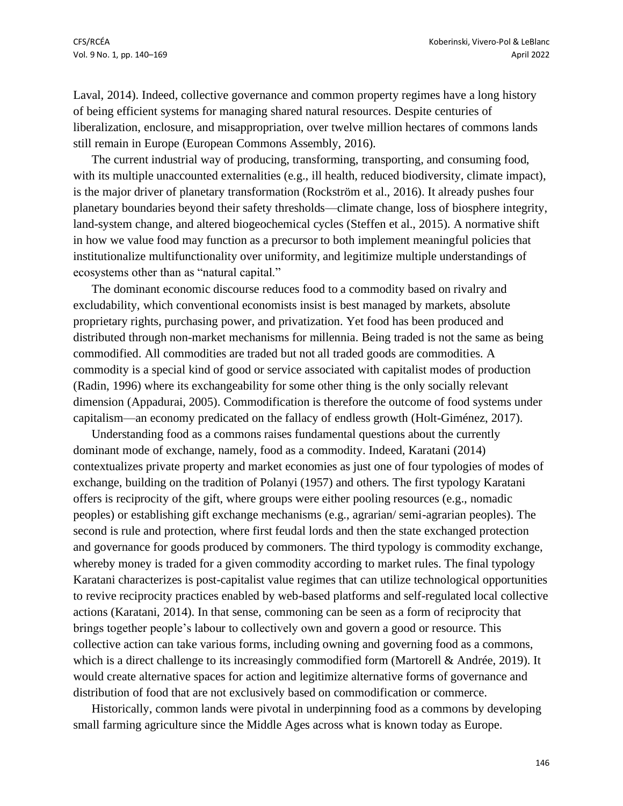Laval, 2014). Indeed, collective governance and common property regimes have a long history of being efficient systems for managing shared natural resources. Despite centuries of liberalization, enclosure, and misappropriation, over twelve million hectares of commons lands still remain in Europe (European Commons Assembly, 2016).

The current industrial way of producing, transforming, transporting, and consuming food, with its multiple unaccounted externalities (e.g., ill health, reduced biodiversity, climate impact), is the major driver of planetary transformation (Rockström et al., 2016). It already pushes four planetary boundaries beyond their safety thresholds—climate change, loss of biosphere integrity, land-system change, and altered biogeochemical cycles (Steffen et al., 2015). A normative shift in how we value food may function as a precursor to both implement meaningful policies that institutionalize multifunctionality over uniformity, and legitimize multiple understandings of ecosystems other than as "natural capital."

The dominant economic discourse reduces food to a commodity based on rivalry and excludability, which conventional economists insist is best managed by markets, absolute proprietary rights, purchasing power, and privatization. Yet food has been produced and distributed through non-market mechanisms for millennia. Being traded is not the same as being commodified. All commodities are traded but not all traded goods are commodities. A commodity is a special kind of good or service associated with capitalist modes of production (Radin, 1996) where its exchangeability for some other thing is the only socially relevant dimension (Appadurai, 2005). Commodification is therefore the outcome of food systems under capitalism—an economy predicated on the fallacy of endless growth (Holt-Giménez, 2017).

Understanding food as a commons raises fundamental questions about the currently dominant mode of exchange, namely, food as a commodity. Indeed, Karatani (2014) contextualizes private property and market economies as just one of four typologies of modes of exchange, building on the tradition of Polanyi (1957) and others. The first typology Karatani offers is reciprocity of the gift, where groups were either pooling resources (e.g., nomadic peoples) or establishing gift exchange mechanisms (e.g., agrarian/ semi-agrarian peoples). The second is rule and protection, where first feudal lords and then the state exchanged protection and governance for goods produced by commoners. The third typology is commodity exchange, whereby money is traded for a given commodity according to market rules. The final typology Karatani characterizes is post-capitalist value regimes that can utilize technological opportunities to revive reciprocity practices enabled by web-based platforms and self-regulated local collective actions (Karatani, 2014). In that sense, commoning can be seen as a form of reciprocity that brings together people's labour to collectively own and govern a good or resource. This collective action can take various forms, including owning and governing food as a commons, which is a direct challenge to its increasingly commodified form (Martorell & Andrée, 2019). It would create alternative spaces for action and legitimize alternative forms of governance and distribution of food that are not exclusively based on commodification or commerce.

Historically, common lands were pivotal in underpinning food as a commons by developing small farming agriculture since the Middle Ages across what is known today as Europe.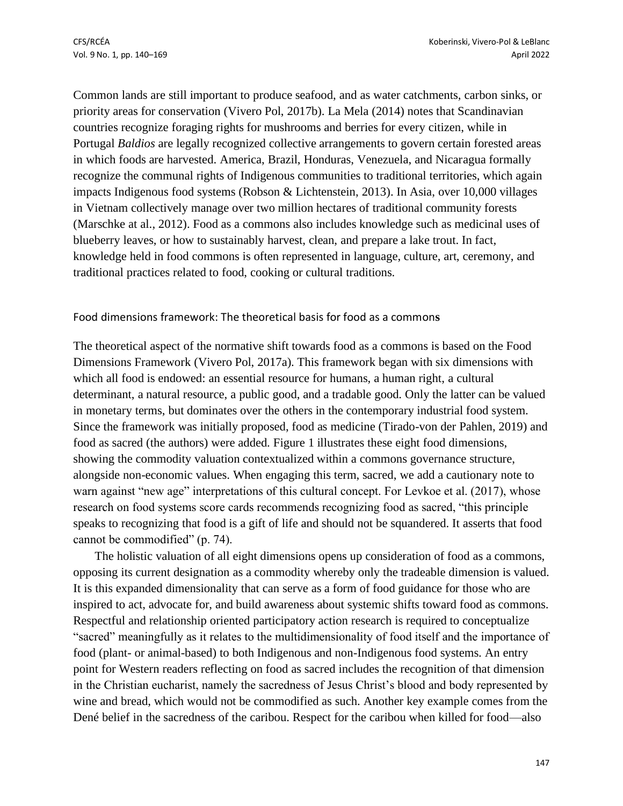Common lands are still important to produce seafood, and as water catchments, carbon sinks, or priority areas for conservation (Vivero Pol, 2017b). La Mela (2014) notes that Scandinavian countries recognize foraging rights for mushrooms and berries for every citizen, while in Portugal *Baldios* are legally recognized collective arrangements to govern certain forested areas in which foods are harvested. America, Brazil, Honduras, Venezuela, and Nicaragua formally recognize the communal rights of Indigenous communities to traditional territories, which again impacts Indigenous food systems (Robson & Lichtenstein, 2013). In Asia, over 10,000 villages in Vietnam collectively manage over two million hectares of traditional community forests (Marschke at al., 2012). Food as a commons also includes knowledge such as medicinal uses of blueberry leaves, or how to sustainably harvest, clean, and prepare a lake trout. In fact, knowledge held in food commons is often represented in language, culture, art, ceremony, and traditional practices related to food, cooking or cultural traditions.

#### Food dimensions framework: The theoretical basis for food as a common**s**

The theoretical aspect of the normative shift towards food as a commons is based on the Food Dimensions Framework (Vivero Pol, 2017a). This framework began with six dimensions with which all food is endowed: an essential resource for humans, a human right, a cultural determinant, a natural resource, a public good, and a tradable good. Only the latter can be valued in monetary terms, but dominates over the others in the contemporary industrial food system. Since the framework was initially proposed, food as medicine (Tirado-von der Pahlen, 2019) and food as sacred (the authors) were added. Figure 1 illustrates these eight food dimensions, showing the commodity valuation contextualized within a commons governance structure, alongside non-economic values. When engaging this term, sacred, we add a cautionary note to warn against "new age" interpretations of this cultural concept. For Levkoe et al. (2017), whose research on food systems score cards recommends recognizing food as sacred, "this principle speaks to recognizing that food is a gift of life and should not be squandered. It asserts that food cannot be commodified" (p. 74).

The holistic valuation of all eight dimensions opens up consideration of food as a commons, opposing its current designation as a commodity whereby only the tradeable dimension is valued. It is this expanded dimensionality that can serve as a form of food guidance for those who are inspired to act, advocate for, and build awareness about systemic shifts toward food as commons. Respectful and relationship oriented participatory action research is required to conceptualize "sacred" meaningfully as it relates to the multidimensionality of food itself and the importance of food (plant- or animal-based) to both Indigenous and non-Indigenous food systems. An entry point for Western readers reflecting on food as sacred includes the recognition of that dimension in the Christian eucharist, namely the sacredness of Jesus Christ's blood and body represented by wine and bread, which would not be commodified as such. Another key example comes from the Dené belief in the sacredness of the caribou. Respect for the caribou when killed for food—also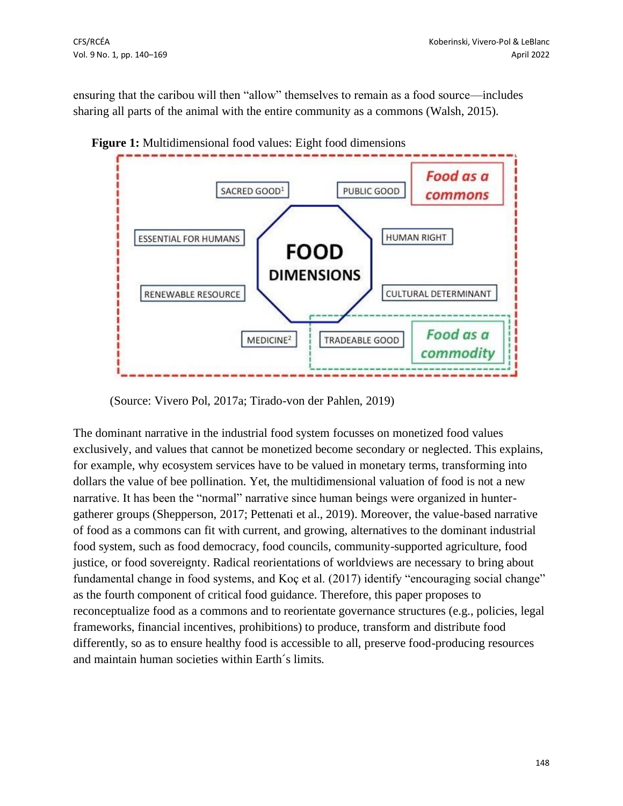ensuring that the caribou will then "allow" themselves to remain as a food source—includes sharing all parts of the animal with the entire community as a commons (Walsh, 2015).



**Figure 1:** Multidimensional food values: Eight food dimensions

(Source: Vivero Pol, 2017a; Tirado-von der Pahlen, 2019)

The dominant narrative in the industrial food system focusses on monetized food values exclusively, and values that cannot be monetized become secondary or neglected. This explains, for example, why ecosystem services have to be valued in monetary terms, transforming into dollars the value of bee pollination. Yet, the multidimensional valuation of food is not a new narrative. It has been the "normal" narrative since human beings were organized in huntergatherer groups (Shepperson, 2017; Pettenati et al., 2019). Moreover, the value-based narrative of food as a commons can fit with current, and growing, alternatives to the dominant industrial food system, such as food democracy, food councils, community-supported agriculture, food justice, or food sovereignty. Radical reorientations of worldviews are necessary to bring about fundamental change in food systems, and Koç et al. (2017) identify "encouraging social change" as the fourth component of critical food guidance. Therefore, this paper proposes to reconceptualize food as a commons and to reorientate governance structures (e.g., policies, legal frameworks, financial incentives, prohibitions) to produce, transform and distribute food differently, so as to ensure healthy food is accessible to all, preserve food-producing resources and maintain human societies within Earth´s limits.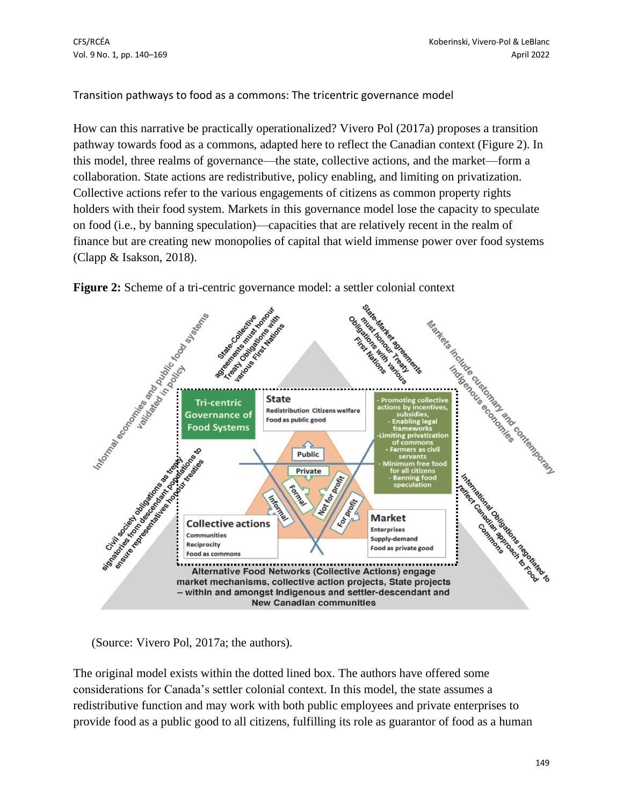Transition pathways to food as a commons: The tricentric governance model

How can this narrative be practically operationalized? Vivero Pol (2017a) proposes a transition pathway towards food as a commons, adapted here to reflect the Canadian context (Figure 2). In this model, three realms of governance—the state, collective actions, and the market—form a collaboration. State actions are redistributive, policy enabling, and limiting on privatization. Collective actions refer to the various engagements of citizens as common property rights holders with their food system. Markets in this governance model lose the capacity to speculate on food (i.e., by banning speculation)—capacities that are relatively recent in the realm of finance but are creating new monopolies of capital that wield immense power over food systems (Clapp & Isakson, 2018).



**Figure 2:** Scheme of a tri-centric governance model: a settler colonial context

(Source: Vivero Pol, 2017a; the authors).

The original model exists within the dotted lined box. The authors have offered some considerations for Canada's settler colonial context. In this model, the state assumes a redistributive function and may work with both public employees and private enterprises to provide food as a public good to all citizens, fulfilling its role as guarantor of food as a human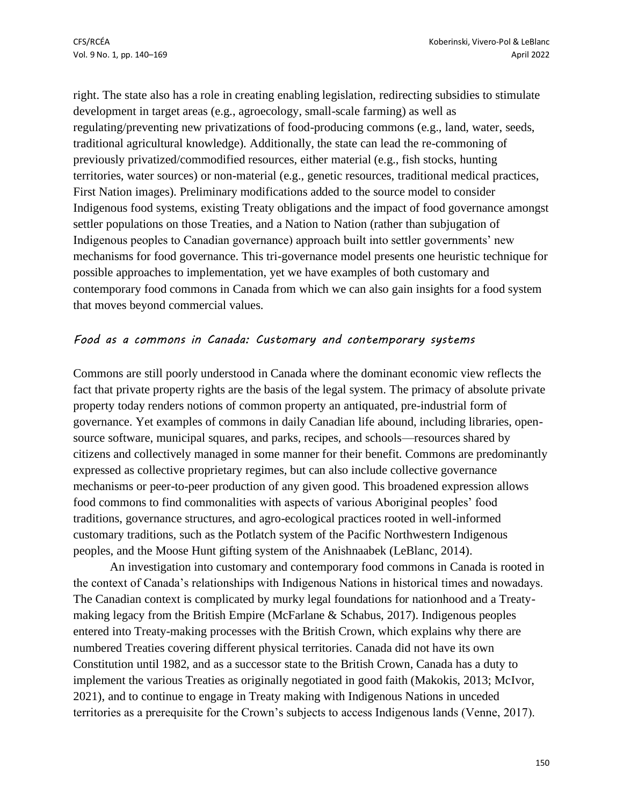right. The state also has a role in creating enabling legislation, redirecting subsidies to stimulate development in target areas (e.g., agroecology, small-scale farming) as well as regulating/preventing new privatizations of food-producing commons (e.g., land, water, seeds, traditional agricultural knowledge). Additionally, the state can lead the re-commoning of previously privatized/commodified resources, either material (e.g., fish stocks, hunting territories, water sources) or non-material (e.g., genetic resources, traditional medical practices, First Nation images). Preliminary modifications added to the source model to consider Indigenous food systems, existing Treaty obligations and the impact of food governance amongst settler populations on those Treaties, and a Nation to Nation (rather than subjugation of Indigenous peoples to Canadian governance) approach built into settler governments' new mechanisms for food governance. This tri-governance model presents one heuristic technique for possible approaches to implementation, yet we have examples of both customary and contemporary food commons in Canada from which we can also gain insights for a food system that moves beyond commercial values.

## *Food as a commons in Canada: Customary and contemporary systems*

Commons are still poorly understood in Canada where the dominant economic view reflects the fact that private property rights are the basis of the legal system. The primacy of absolute private property today renders notions of common property an antiquated, pre-industrial form of governance. Yet examples of commons in daily Canadian life abound, including libraries, opensource software, municipal squares, and parks, recipes, and schools—resources shared by citizens and collectively managed in some manner for their benefit. Commons are predominantly expressed as collective proprietary regimes, but can also include collective governance mechanisms or peer-to-peer production of any given good. This broadened expression allows food commons to find commonalities with aspects of various Aboriginal peoples' food traditions, governance structures, and agro-ecological practices rooted in well-informed customary traditions, such as the Potlatch system of the Pacific Northwestern Indigenous peoples, and the Moose Hunt gifting system of the Anishnaabek (LeBlanc, 2014).

An investigation into customary and contemporary food commons in Canada is rooted in the context of Canada's relationships with Indigenous Nations in historical times and nowadays. The Canadian context is complicated by murky legal foundations for nationhood and a Treatymaking legacy from the British Empire (McFarlane & Schabus, 2017). Indigenous peoples entered into Treaty-making processes with the British Crown, which explains why there are numbered Treaties covering different physical territories. Canada did not have its own Constitution until 1982, and as a successor state to the British Crown, Canada has a duty to implement the various Treaties as originally negotiated in good faith (Makokis, 2013; McIvor, 2021), and to continue to engage in Treaty making with Indigenous Nations in unceded territories as a prerequisite for the Crown's subjects to access Indigenous lands (Venne, 2017).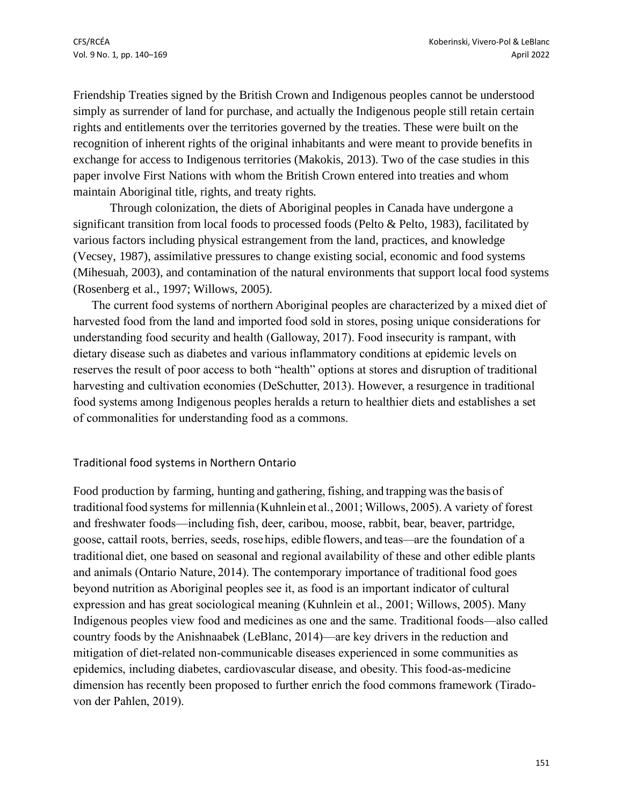Friendship Treaties signed by the British Crown and Indigenous peoples cannot be understood simply as surrender of land for purchase, and actually the Indigenous people still retain certain rights and entitlements over the territories governed by the treaties. These were built on the recognition of inherent rights of the original inhabitants and were meant to provide benefits in exchange for access to Indigenous territories (Makokis, 2013). Two of the case studies in this paper involve First Nations with whom the British Crown entered into treaties and whom maintain Aboriginal title, rights, and treaty rights.

Through colonization, the diets of Aboriginal peoples in Canada have undergone a significant transition from local foods to processed foods (Pelto & Pelto, 1983), facilitated by various factors including physical estrangement from the land, practices, and knowledge (Vecsey, 1987), assimilative pressures to change existing social, economic and food systems (Mihesuah, 2003), and contamination of the natural environments that support local food systems (Rosenberg et al., 1997; Willows, 2005).

The current food systems of northern Aboriginal peoples are characterized by a mixed diet of harvested food from the land and imported food sold in stores, posing unique considerations for understanding food security and health (Galloway, 2017). Food insecurity is rampant, with dietary disease such as diabetes and various inflammatory conditions at epidemic levels on reserves the result of poor access to both "health" options at stores and disruption of traditional harvesting and cultivation economies (DeSchutter, 2013). However, a resurgence in traditional food systems among Indigenous peoples heralds a return to healthier diets and establishes a set of commonalities for understanding food as a commons.

#### Traditional food systems in Northern Ontario

Food production by farming, hunting and gathering, fishing, and trapping wasthe basis of traditional food systems for millennia (Kuhnlein et al., 2001; Willows, 2005). A variety of forest and freshwater foods—including fish, deer, caribou, moose, rabbit, bear, beaver, partridge, goose, cattail roots, berries, seeds, rosehips, edible flowers, and teas—are the foundation of a traditional diet, one based on seasonal and regional availability of these and other edible plants and animals (Ontario Nature, 2014). The contemporary importance of traditional food goes beyond nutrition as Aboriginal peoples see it, as food is an important indicator of cultural expression and has great sociological meaning (Kuhnlein et al., 2001; Willows, 2005). Many Indigenous peoples view food and medicines as one and the same. Traditional foods—also called country foods by the Anishnaabek (LeBlanc, 2014)—are key drivers in the reduction and mitigation of diet-related non-communicable diseases experienced in some communities as epidemics, including diabetes, cardiovascular disease, and obesity. This food-as-medicine dimension has recently been proposed to further enrich the food commons framework (Tiradovon der Pahlen, 2019).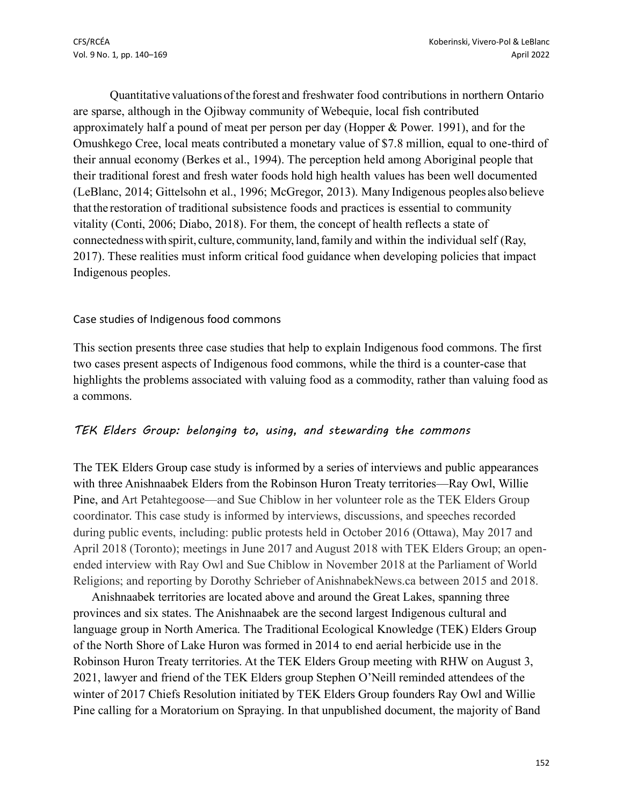Quantitative valuations ofthe forest and freshwater food contributions in northern Ontario are sparse, although in the Ojibway community of Webequie, local fish contributed approximately half a pound of meat per person per day (Hopper & Power. 1991), and for the Omushkego Cree, local meats contributed a monetary value of \$7.8 million, equal to one-third of their annual economy (Berkes et al., 1994). The perception held among Aboriginal people that their traditional forest and fresh water foods hold high health values has been well documented (LeBlanc, 2014; Gittelsohn et al., 1996; McGregor, 2013). Many Indigenous peoples also believe that the restoration of traditional subsistence foods and practices is essential to community vitality (Conti, 2006; Diabo, 2018). For them, the concept of health reflects a state of connectednesswithspirit, culture, community,land,family and within the individual self (Ray, 2017). These realities must inform critical food guidance when developing policies that impact Indigenous peoples.

## Case studies of Indigenous food commons

This section presents three case studies that help to explain Indigenous food commons. The first two cases present aspects of Indigenous food commons, while the third is a counter-case that highlights the problems associated with valuing food as a commodity, rather than valuing food as a commons.

## *TEK Elders Group: belonging to, using, and stewarding the commons*

The TEK Elders Group case study is informed by a series of interviews and public appearances with three Anishnaabek Elders from the Robinson Huron Treaty territories—Ray Owl, Willie Pine, and Art Petahtegoose—and Sue Chiblow in her volunteer role as the TEK Elders Group coordinator. This case study is informed by interviews, discussions, and speeches recorded during public events, including: public protests held in October 2016 (Ottawa), May 2017 and April 2018 (Toronto); meetings in June 2017 and August 2018 with TEK Elders Group; an openended interview with Ray Owl and Sue Chiblow in November 2018 at the Parliament of World Religions; and reporting by Dorothy Schrieber of AnishnabekNews.ca between 2015 and 2018.

Anishnaabek territories are located above and around the Great Lakes, spanning three provinces and six states. The Anishnaabek are the second largest Indigenous cultural and language group in North America. The Traditional Ecological Knowledge (TEK) Elders Group of the North Shore of Lake Huron was formed in 2014 to end aerial herbicide use in the Robinson Huron Treaty territories. At the TEK Elders Group meeting with RHW on August 3, 2021, lawyer and friend of the TEK Elders group Stephen O'Neill reminded attendees of the winter of 2017 Chiefs Resolution initiated by TEK Elders Group founders Ray Owl and Willie Pine calling for a Moratorium on Spraying. In that unpublished document, the majority of Band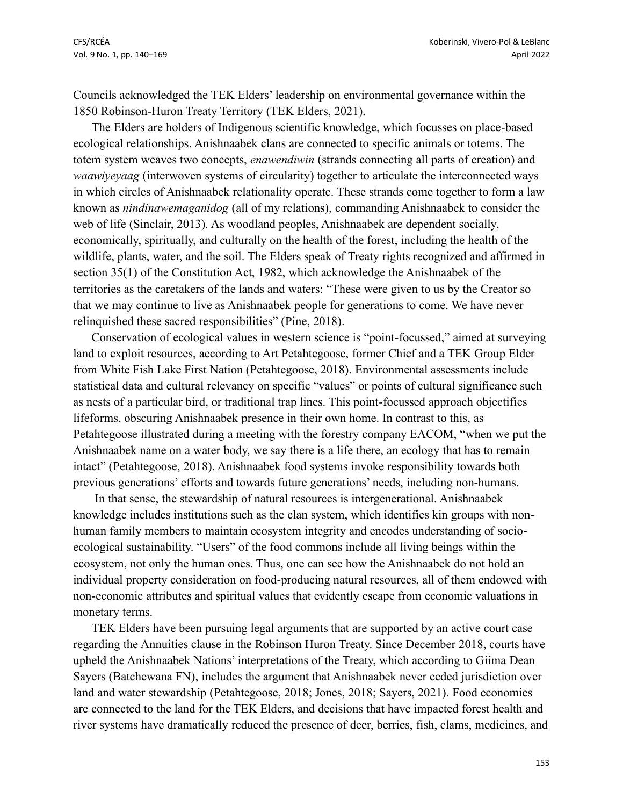Councils acknowledged the TEK Elders' leadership on environmental governance within the 1850 Robinson-Huron Treaty Territory (TEK Elders, 2021).

The Elders are holders of Indigenous scientific knowledge, which focusses on place-based ecological relationships. Anishnaabek clans are connected to specific animals or totems. The totem system weaves two concepts, *enawendiwin* (strands connecting all parts of creation) and *waawiyeyaag* (interwoven systems of circularity) together to articulate the interconnected ways in which circles of Anishnaabek relationality operate. These strands come together to form a law known as *nindinawemaganidog* (all of my relations), commanding Anishnaabek to consider the web of life (Sinclair, 2013). As woodland peoples, Anishnaabek are dependent socially, economically, spiritually, and culturally on the health of the forest, including the health of the wildlife, plants, water, and the soil. The Elders speak of Treaty rights recognized and affirmed in section 35(1) of the Constitution Act, 1982, which acknowledge the Anishnaabek of the territories as the caretakers of the lands and waters: "These were given to us by the Creator so that we may continue to live as Anishnaabek people for generations to come. We have never relinquished these sacred responsibilities" (Pine, 2018).

Conservation of ecological values in western science is "point-focussed," aimed at surveying land to exploit resources, according to Art Petahtegoose, former Chief and a TEK Group Elder from White Fish Lake First Nation (Petahtegoose, 2018). Environmental assessments include statistical data and cultural relevancy on specific "values" or points of cultural significance such as nests of a particular bird, or traditional trap lines. This point-focussed approach objectifies lifeforms, obscuring Anishnaabek presence in their own home. In contrast to this, as Petahtegoose illustrated during a meeting with the forestry company EACOM, "when we put the Anishnaabek name on a water body, we say there is a life there, an ecology that has to remain intact" (Petahtegoose, 2018). Anishnaabek food systems invoke responsibility towards both previous generations' efforts and towards future generations' needs, including non-humans.

In that sense, the stewardship of natural resources is intergenerational. Anishnaabek knowledge includes institutions such as the clan system, which identifies kin groups with nonhuman family members to maintain ecosystem integrity and encodes understanding of socioecological sustainability. "Users" of the food commons include all living beings within the ecosystem, not only the human ones. Thus, one can see how the Anishnaabek do not hold an individual property consideration on food-producing natural resources, all of them endowed with non-economic attributes and spiritual values that evidently escape from economic valuations in monetary terms.

TEK Elders have been pursuing legal arguments that are supported by an active court case regarding the Annuities clause in the Robinson Huron Treaty. Since December 2018, courts have upheld the Anishnaabek Nations' interpretations of the Treaty, which according to Giima Dean Sayers (Batchewana FN), includes the argument that Anishnaabek never ceded jurisdiction over land and water stewardship (Petahtegoose, 2018; Jones, 2018; Sayers, 2021). Food economies are connected to the land for the TEK Elders, and decisions that have impacted forest health and river systems have dramatically reduced the presence of deer, berries, fish, clams, medicines, and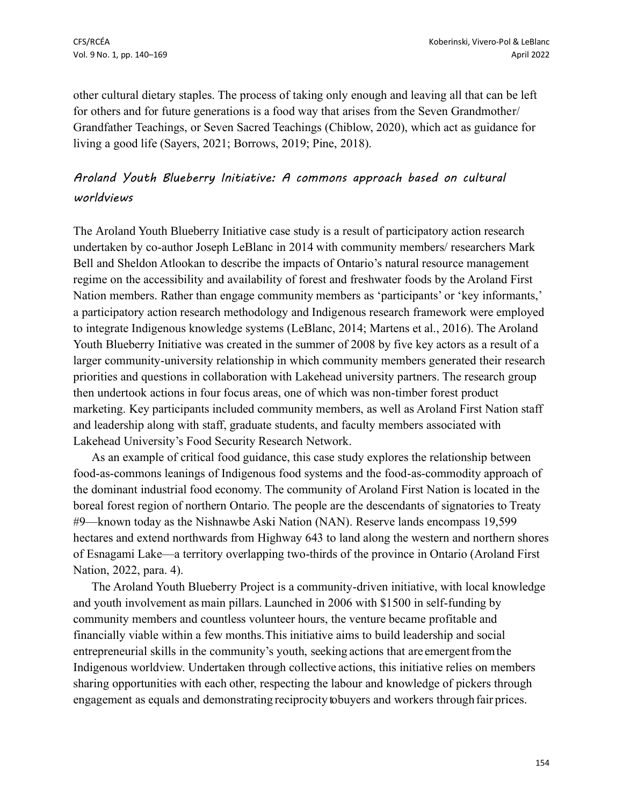other cultural dietary staples. The process of taking only enough and leaving all that can be left for others and for future generations is a food way that arises from the Seven Grandmother/ Grandfather Teachings, or Seven Sacred Teachings (Chiblow, 2020), which act as guidance for living a good life (Sayers, 2021; Borrows, 2019; Pine, 2018).

## *Aroland Youth Blueberry Initiative: A commons approach based on cultural worldviews*

The Aroland Youth Blueberry Initiative case study is a result of participatory action research undertaken by co-author Joseph LeBlanc in 2014 with community members/ researchers Mark Bell and Sheldon Atlookan to describe the impacts of Ontario's natural resource management regime on the accessibility and availability of forest and freshwater foods by the Aroland First Nation members. Rather than engage community members as 'participants' or 'key informants,' a participatory action research methodology and Indigenous research framework were employed to integrate Indigenous knowledge systems (LeBlanc, 2014; Martens et al., 2016). The Aroland Youth Blueberry Initiative was created in the summer of 2008 by five key actors as a result of a larger community-university relationship in which community members generated their research priorities and questions in collaboration with Lakehead university partners. The research group then undertook actions in four focus areas, one of which was non-timber forest product marketing. Key participants included community members, as well as Aroland First Nation staff and leadership along with staff, graduate students, and faculty members associated with Lakehead University's Food Security Research Network.

As an example of critical food guidance, this case study explores the relationship between food-as-commons leanings of Indigenous food systems and the food-as-commodity approach of the dominant industrial food economy. The community of Aroland First Nation is located in the boreal forest region of northern Ontario. The people are the descendants of signatories to Treaty #9—known today as the Nishnawbe Aski Nation (NAN). Reserve lands encompass 19,599 hectares and extend northwards from Highway 643 to land along the western and northern shores of Esnagami Lake—a territory overlapping two-thirds of the province in Ontario (Aroland First Nation, 2022, para. 4).

The Aroland Youth Blueberry Project is a community-driven initiative, with local knowledge and youth involvement as main pillars. Launched in 2006 with \$1500 in self-funding by community members and countless volunteer hours, the venture became profitable and financially viable within a few months.This initiative aims to build leadership and social entrepreneurial skills in the community's youth, seeking actions that are emergent from the Indigenous worldview. Undertaken through collective actions, this initiative relies on members sharing opportunities with each other, respecting the labour and knowledge of pickers through engagement as equals and demonstrating reciprocity to buyers and workers through fair prices.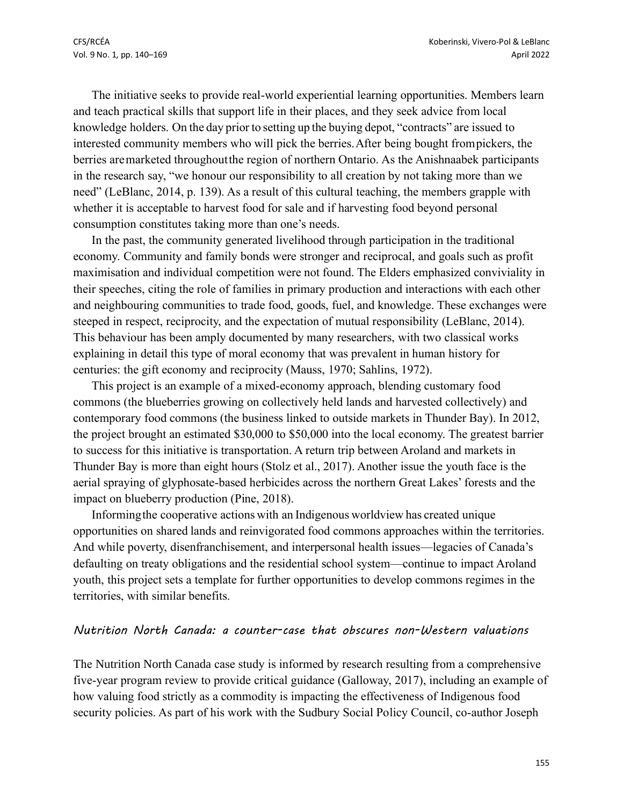The initiative seeks to provide real-world experiential learning opportunities. Members learn and teach practical skills that support life in their places, and they seek advice from local knowledge holders. On the day prior to setting up the buying depot, "contracts" are issued to interested community members who will pick the berries.After being bought frompickers, the berries aremarketed throughoutthe region of northern Ontario. As the Anishnaabek participants in the research say, "we honour our responsibility to all creation by not taking more than we need" (LeBlanc, 2014, p. 139). As a result of this cultural teaching, the members grapple with whether it is acceptable to harvest food for sale and if harvesting food beyond personal consumption constitutes taking more than one's needs.

In the past, the community generated livelihood through participation in the traditional economy. Community and family bonds were stronger and reciprocal, and goals such as profit maximisation and individual competition were not found. The Elders emphasized conviviality in their speeches, citing the role of families in primary production and interactions with each other and neighbouring communities to trade food, goods, fuel, and knowledge. These exchanges were steeped in respect, reciprocity, and the expectation of mutual responsibility (LeBlanc, 2014). This behaviour has been amply documented by many researchers, with two classical works explaining in detail this type of moral economy that was prevalent in human history for centuries: the gift economy and reciprocity (Mauss, 1970; Sahlins, 1972).

This project is an example of a mixed-economy approach, blending customary food commons (the blueberries growing on collectively held lands and harvested collectively) and contemporary food commons (the business linked to outside markets in Thunder Bay). In 2012, the project brought an estimated \$30,000 to \$50,000 into the local economy. The greatest barrier to success for this initiative is transportation. A return trip between Aroland and markets in Thunder Bay is more than eight hours (Stolz et al., 2017). Another issue the youth face is the aerial spraying of glyphosate-based herbicides across the northern Great Lakes' forests and the impact on blueberry production (Pine, 2018).

Informingthe cooperative actions with an Indigenous worldview has created unique opportunities on shared lands and reinvigorated food commons approaches within the territories. And while poverty, disenfranchisement, and interpersonal health issues—legacies of Canada's defaulting on treaty obligations and the residential school system—continue to impact Aroland youth, this project sets a template for further opportunities to develop commons regimes in the territories, with similar benefits.

#### *Nutrition North Canada: a counter-case that obscures non-Western valuations*

The Nutrition North Canada case study is informed by research resulting from a comprehensive five-year program review to provide critical guidance (Galloway, 2017), including an example of how valuing food strictly as a commodity is impacting the effectiveness of Indigenous food security policies. As part of his work with the Sudbury Social Policy Council, co-author Joseph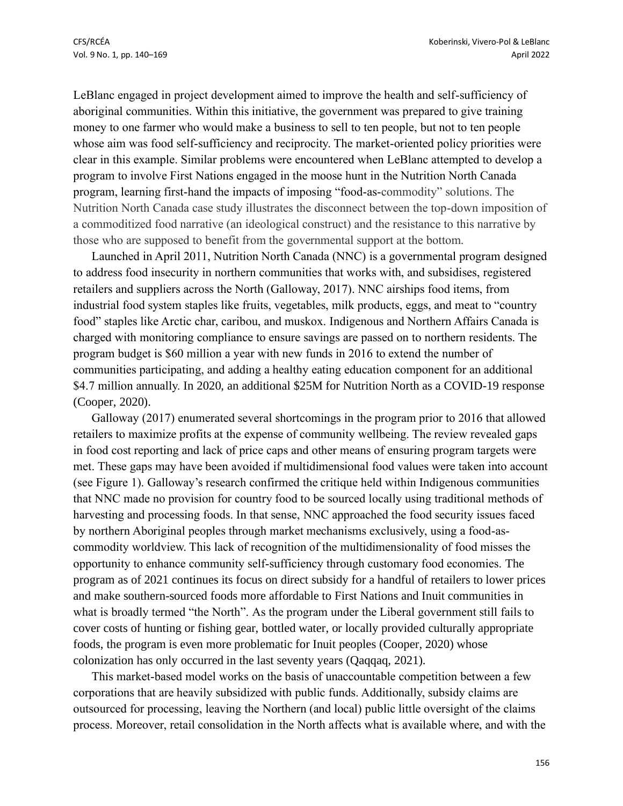LeBlanc engaged in project development aimed to improve the health and self-sufficiency of aboriginal communities. Within this initiative, the government was prepared to give training money to one farmer who would make a business to sell to ten people, but not to ten people whose aim was food self-sufficiency and reciprocity. The market-oriented policy priorities were clear in this example. Similar problems were encountered when LeBlanc attempted to develop a program to involve First Nations engaged in the moose hunt in the Nutrition North Canada program, learning first-hand the impacts of imposing "food-as-commodity" solutions. The Nutrition North Canada case study illustrates the disconnect between the top-down imposition of a commoditized food narrative (an ideological construct) and the resistance to this narrative by those who are supposed to benefit from the governmental support at the bottom.

Launched in April 2011, Nutrition North Canada (NNC) is a governmental program designed to address food insecurity in northern communities that works with, and subsidises, registered retailers and suppliers across the North (Galloway, 2017). NNC airships food items, from industrial food system staples like fruits, vegetables, milk products, eggs, and meat to "country food" staples like Arctic char, caribou, and muskox. Indigenous and Northern Affairs Canada is charged with monitoring compliance to ensure savings are passed on to northern residents. The program budget is \$60 million a year with new funds in 2016 to extend the number of communities participating, and adding a healthy eating education component for an additional \$4.7 million annually. In 2020, an additional \$25M for Nutrition North as a COVID-19 response (Cooper, 2020).

Galloway (2017) enumerated several shortcomings in the program prior to 2016 that allowed retailers to maximize profits at the expense of community wellbeing. The review revealed gaps in food cost reporting and lack of price caps and other means of ensuring program targets were met. These gaps may have been avoided if multidimensional food values were taken into account (see Figure 1). Galloway's research confirmed the critique held within Indigenous communities that NNC made no provision for country food to be sourced locally using traditional methods of harvesting and processing foods. In that sense, NNC approached the food security issues faced by northern Aboriginal peoples through market mechanisms exclusively, using a food-ascommodity worldview. This lack of recognition of the multidimensionality of food misses the opportunity to enhance community self-sufficiency through customary food economies. The program as of 2021 continues its focus on direct subsidy for a handful of retailers to lower prices and make southern-sourced foods more affordable to First Nations and Inuit communities in what is broadly termed "the North". As the program under the Liberal government still fails to cover costs of hunting or fishing gear, bottled water, or locally provided culturally appropriate foods, the program is even more problematic for Inuit peoples (Cooper, 2020) whose colonization has only occurred in the last seventy years (Qaqqaq, 2021).

This market-based model works on the basis of unaccountable competition between a few corporations that are heavily subsidized with public funds. Additionally, subsidy claims are outsourced for processing, leaving the Northern (and local) public little oversight of the claims process. Moreover, retail consolidation in the North affects what is available where, and with the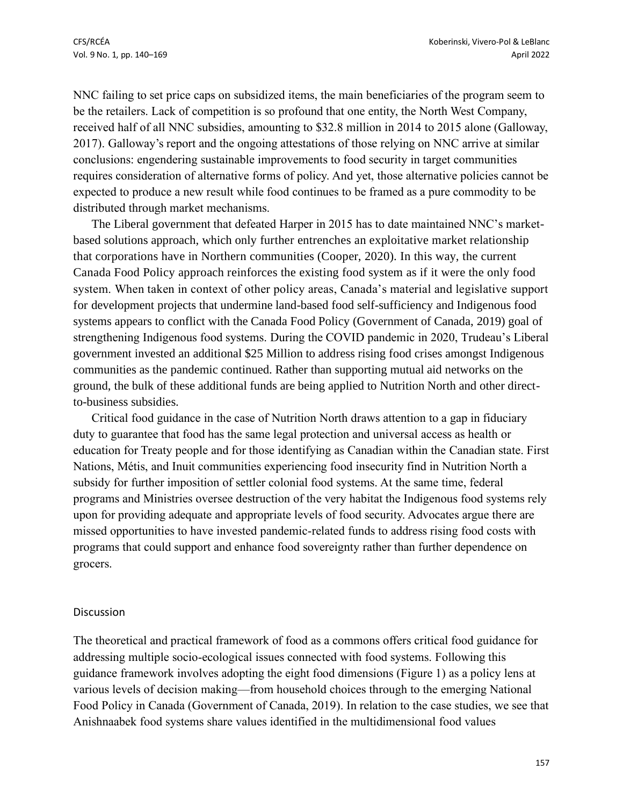NNC failing to set price caps on subsidized items, the main beneficiaries of the program seem to be the retailers. Lack of competition is so profound that one entity, the North West Company, received half of all NNC subsidies, amounting to \$32.8 million in 2014 to 2015 alone (Galloway, 2017). Galloway's report and the ongoing attestations of those relying on NNC arrive at similar conclusions: engendering sustainable improvements to food security in target communities requires consideration of alternative forms of policy. And yet, those alternative policies cannot be expected to produce a new result while food continues to be framed as a pure commodity to be distributed through market mechanisms.

The Liberal government that defeated Harper in 2015 has to date maintained NNC's marketbased solutions approach, which only further entrenches an exploitative market relationship that corporations have in Northern communities (Cooper, 2020). In this way, the current Canada Food Policy approach reinforces the existing food system as if it were the only food system. When taken in context of other policy areas, Canada's material and legislative support for development projects that undermine land-based food self-sufficiency and Indigenous food systems appears to conflict with the Canada Food Policy (Government of Canada, 2019) goal of strengthening Indigenous food systems. During the COVID pandemic in 2020, Trudeau's Liberal government invested an additional \$25 Million to address rising food crises amongst Indigenous communities as the pandemic continued. Rather than supporting mutual aid networks on the ground, the bulk of these additional funds are being applied to Nutrition North and other directto-business subsidies.

Critical food guidance in the case of Nutrition North draws attention to a gap in fiduciary duty to guarantee that food has the same legal protection and universal access as health or education for Treaty people and for those identifying as Canadian within the Canadian state. First Nations, Métis, and Inuit communities experiencing food insecurity find in Nutrition North a subsidy for further imposition of settler colonial food systems. At the same time, federal programs and Ministries oversee destruction of the very habitat the Indigenous food systems rely upon for providing adequate and appropriate levels of food security. Advocates argue there are missed opportunities to have invested pandemic-related funds to address rising food costs with programs that could support and enhance food sovereignty rather than further dependence on grocers.

#### Discussion

The theoretical and practical framework of food as a commons offers critical food guidance for addressing multiple socio-ecological issues connected with food systems. Following this guidance framework involves adopting the eight food dimensions (Figure 1) as a policy lens at various levels of decision making—from household choices through to the emerging National Food Policy in Canada (Government of Canada, 2019). In relation to the case studies, we see that Anishnaabek food systems share values identified in the multidimensional food values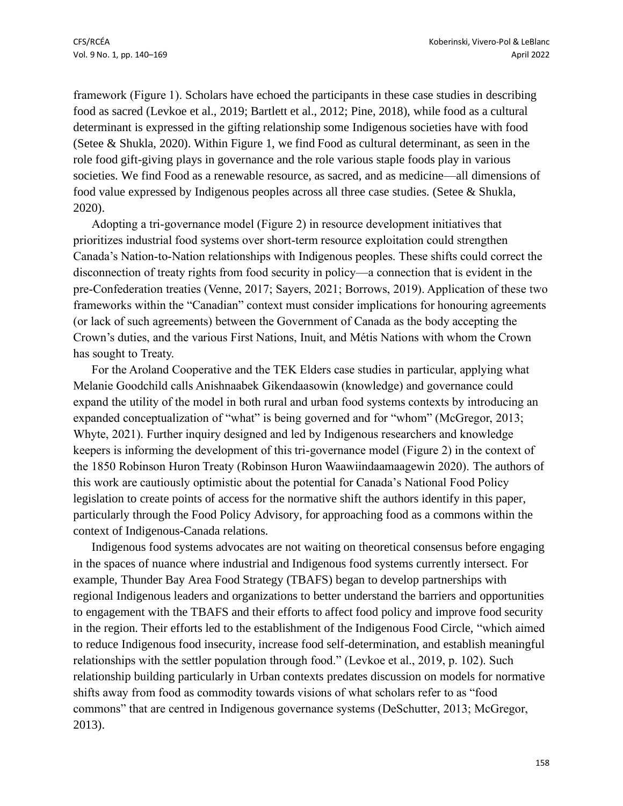framework (Figure 1). Scholars have echoed the participants in these case studies in describing food as sacred (Levkoe et al., 2019; Bartlett et al., 2012; Pine, 2018), while food as a cultural determinant is expressed in the gifting relationship some Indigenous societies have with food (Setee & Shukla, 2020). Within Figure 1, we find Food as cultural determinant, as seen in the role food gift-giving plays in governance and the role various staple foods play in various societies. We find Food as a renewable resource, as sacred, and as medicine—all dimensions of food value expressed by Indigenous peoples across all three case studies. (Setee & Shukla, 2020).

Adopting a tri-governance model (Figure 2) in resource development initiatives that prioritizes industrial food systems over short-term resource exploitation could strengthen Canada's Nation-to-Nation relationships with Indigenous peoples. These shifts could correct the disconnection of treaty rights from food security in policy—a connection that is evident in the pre-Confederation treaties (Venne, 2017; Sayers, 2021; Borrows, 2019). Application of these two frameworks within the "Canadian" context must consider implications for honouring agreements (or lack of such agreements) between the Government of Canada as the body accepting the Crown's duties, and the various First Nations, Inuit, and Métis Nations with whom the Crown has sought to Treaty.

For the Aroland Cooperative and the TEK Elders case studies in particular, applying what Melanie Goodchild calls Anishnaabek Gikendaasowin (knowledge) and governance could expand the utility of the model in both rural and urban food systems contexts by introducing an expanded conceptualization of "what" is being governed and for "whom" (McGregor, 2013; Whyte, 2021). Further inquiry designed and led by Indigenous researchers and knowledge keepers is informing the development of this tri-governance model (Figure 2) in the context of the 1850 Robinson Huron Treaty (Robinson Huron Waawiindaamaagewin 2020). The authors of this work are cautiously optimistic about the potential for Canada's National Food Policy legislation to create points of access for the normative shift the authors identify in this paper, particularly through the Food Policy Advisory, for approaching food as a commons within the context of Indigenous-Canada relations.

Indigenous food systems advocates are not waiting on theoretical consensus before engaging in the spaces of nuance where industrial and Indigenous food systems currently intersect. For example, Thunder Bay Area Food Strategy (TBAFS) began to develop partnerships with regional Indigenous leaders and organizations to better understand the barriers and opportunities to engagement with the TBAFS and their efforts to affect food policy and improve food security in the region. Their efforts led to the establishment of the Indigenous Food Circle, "which aimed to reduce Indigenous food insecurity, increase food self-determination, and establish meaningful relationships with the settler population through food." (Levkoe et al., 2019, p. 102). Such relationship building particularly in Urban contexts predates discussion on models for normative shifts away from food as commodity towards visions of what scholars refer to as "food commons" that are centred in Indigenous governance systems (DeSchutter, 2013; McGregor, 2013).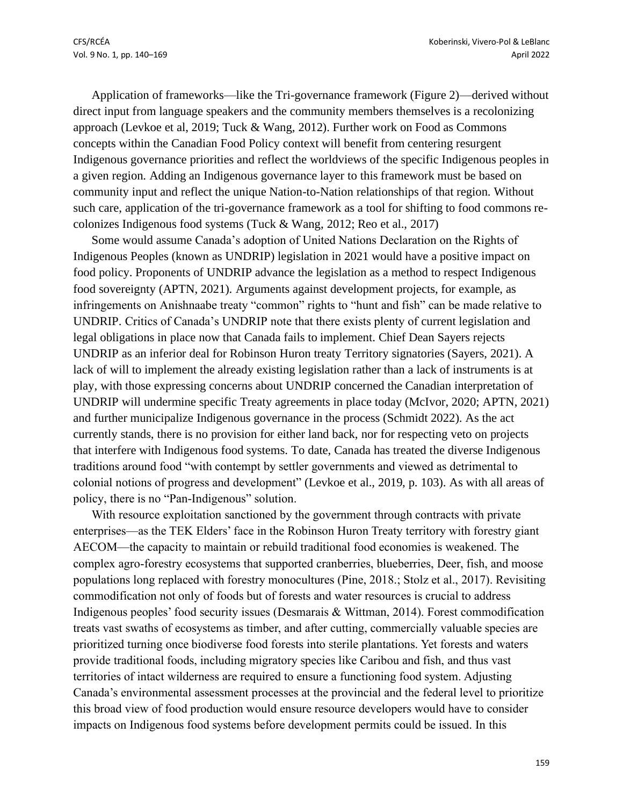Application of frameworks—like the Tri-governance framework (Figure 2)—derived without direct input from language speakers and the community members themselves is a recolonizing approach (Levkoe et al, 2019; Tuck & Wang, 2012). Further work on Food as Commons concepts within the Canadian Food Policy context will benefit from centering resurgent Indigenous governance priorities and reflect the worldviews of the specific Indigenous peoples in a given region. Adding an Indigenous governance layer to this framework must be based on community input and reflect the unique Nation-to-Nation relationships of that region. Without such care, application of the tri-governance framework as a tool for shifting to food commons recolonizes Indigenous food systems (Tuck & Wang, 2012; Reo et al., 2017)

Some would assume Canada's adoption of United Nations Declaration on the Rights of Indigenous Peoples (known as UNDRIP) legislation in 2021 would have a positive impact on food policy. Proponents of UNDRIP advance the legislation as a method to respect Indigenous food sovereignty (APTN, 2021). Arguments against development projects, for example, as infringements on Anishnaabe treaty "common" rights to "hunt and fish" can be made relative to UNDRIP. Critics of Canada's UNDRIP note that there exists plenty of current legislation and legal obligations in place now that Canada fails to implement. Chief Dean Sayers rejects UNDRIP as an inferior deal for Robinson Huron treaty Territory signatories (Sayers, 2021). A lack of will to implement the already existing legislation rather than a lack of instruments is at play, with those expressing concerns about UNDRIP concerned the Canadian interpretation of UNDRIP will undermine specific Treaty agreements in place today (McIvor, 2020; APTN, 2021) and further municipalize Indigenous governance in the process (Schmidt 2022). As the act currently stands, there is no provision for either land back, nor for respecting veto on projects that interfere with Indigenous food systems. To date, Canada has treated the diverse Indigenous traditions around food "with contempt by settler governments and viewed as detrimental to colonial notions of progress and development" (Levkoe et al., 2019, p. 103). As with all areas of policy, there is no "Pan-Indigenous" solution.

With resource exploitation sanctioned by the government through contracts with private enterprises—as the TEK Elders' face in the Robinson Huron Treaty territory with forestry giant AECOM—the capacity to maintain or rebuild traditional food economies is weakened. The complex agro-forestry ecosystems that supported cranberries, blueberries, Deer, fish, and moose populations long replaced with forestry monocultures (Pine, 2018.; Stolz et al., 2017). Revisiting commodification not only of foods but of forests and water resources is crucial to address Indigenous peoples' food security issues (Desmarais & Wittman, 2014). Forest commodification treats vast swaths of ecosystems as timber, and after cutting, commercially valuable species are prioritized turning once biodiverse food forests into sterile plantations. Yet forests and waters provide traditional foods, including migratory species like Caribou and fish, and thus vast territories of intact wilderness are required to ensure a functioning food system. Adjusting Canada's environmental assessment processes at the provincial and the federal level to prioritize this broad view of food production would ensure resource developers would have to consider impacts on Indigenous food systems before development permits could be issued. In this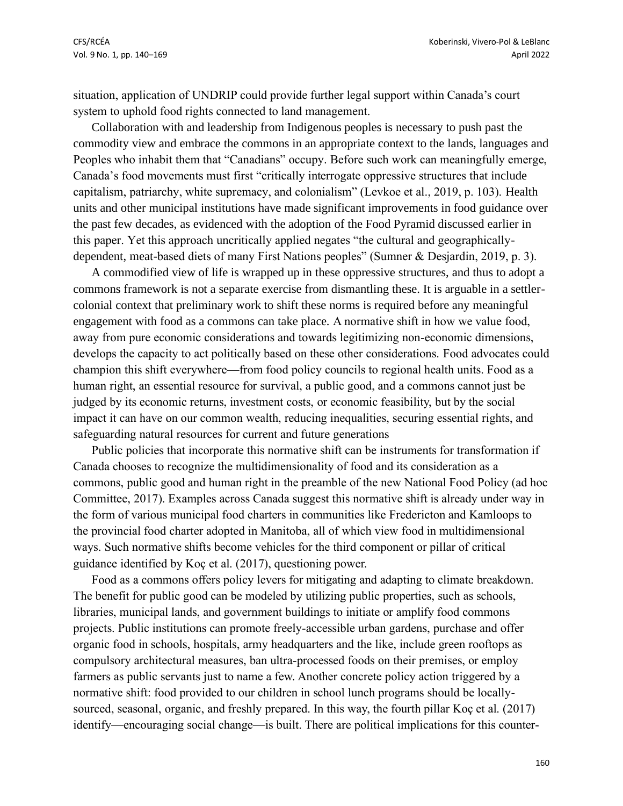situation, application of UNDRIP could provide further legal support within Canada's court system to uphold food rights connected to land management.

Collaboration with and leadership from Indigenous peoples is necessary to push past the commodity view and embrace the commons in an appropriate context to the lands, languages and Peoples who inhabit them that "Canadians" occupy. Before such work can meaningfully emerge, Canada's food movements must first "critically interrogate oppressive structures that include capitalism, patriarchy, white supremacy, and colonialism" (Levkoe et al., 2019, p. 103). Health units and other municipal institutions have made significant improvements in food guidance over the past few decades, as evidenced with the adoption of the Food Pyramid discussed earlier in this paper. Yet this approach uncritically applied negates "the cultural and geographicallydependent, meat-based diets of many First Nations peoples" (Sumner & Desjardin, 2019, p. 3).

A commodified view of life is wrapped up in these oppressive structures, and thus to adopt a commons framework is not a separate exercise from dismantling these. It is arguable in a settlercolonial context that preliminary work to shift these norms is required before any meaningful engagement with food as a commons can take place. A normative shift in how we value food, away from pure economic considerations and towards legitimizing non-economic dimensions, develops the capacity to act politically based on these other considerations. Food advocates could champion this shift everywhere—from food policy councils to regional health units. Food as a human right, an essential resource for survival, a public good, and a commons cannot just be judged by its economic returns, investment costs, or economic feasibility, but by the social impact it can have on our common wealth, reducing inequalities, securing essential rights, and safeguarding natural resources for current and future generations

Public policies that incorporate this normative shift can be instruments for transformation if Canada chooses to recognize the multidimensionality of food and its consideration as a commons, public good and human right in the preamble of the new National Food Policy (ad hoc Committee, 2017). Examples across Canada suggest this normative shift is already under way in the form of various municipal food charters in communities like Fredericton and Kamloops to the provincial food charter adopted in Manitoba, all of which view food in multidimensional ways. Such normative shifts become vehicles for the third component or pillar of critical guidance identified by Koç et al. (2017), questioning power.

Food as a commons offers policy levers for mitigating and adapting to climate breakdown. The benefit for public good can be modeled by utilizing public properties, such as schools, libraries, municipal lands, and government buildings to initiate or amplify food commons projects. Public institutions can promote freely-accessible urban gardens, purchase and offer organic food in schools, hospitals, army headquarters and the like, include green rooftops as compulsory architectural measures, ban ultra-processed foods on their premises, or employ farmers as public servants just to name a few. Another concrete policy action triggered by a normative shift: food provided to our children in school lunch programs should be locallysourced, seasonal, organic, and freshly prepared. In this way, the fourth pillar Koç et al. (2017) identify—encouraging social change—is built. There are political implications for this counter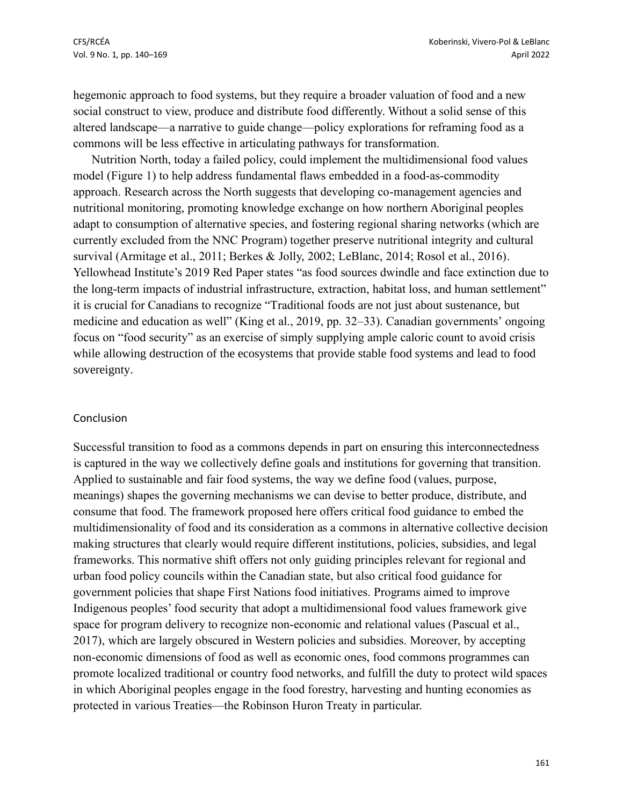hegemonic approach to food systems, but they require a broader valuation of food and a new social construct to view, produce and distribute food differently. Without a solid sense of this altered landscape—a narrative to guide change—policy explorations for reframing food as a commons will be less effective in articulating pathways for transformation.

Nutrition North, today a failed policy, could implement the multidimensional food values model (Figure 1) to help address fundamental flaws embedded in a food-as-commodity approach. Research across the North suggests that developing co-management agencies and nutritional monitoring, promoting knowledge exchange on how northern Aboriginal peoples adapt to consumption of alternative species, and fostering regional sharing networks (which are currently excluded from the NNC Program) together preserve nutritional integrity and cultural survival (Armitage et al., 2011; Berkes & Jolly, 2002; LeBlanc, 2014; Rosol et al., 2016). Yellowhead Institute's 2019 Red Paper states "as food sources dwindle and face extinction due to the long-term impacts of industrial infrastructure, extraction, habitat loss, and human settlement" it is crucial for Canadians to recognize "Traditional foods are not just about sustenance, but medicine and education as well" (King et al., 2019, pp. 32–33). Canadian governments' ongoing focus on "food security" as an exercise of simply supplying ample caloric count to avoid crisis while allowing destruction of the ecosystems that provide stable food systems and lead to food sovereignty.

#### Conclusion

Successful transition to food as a commons depends in part on ensuring this interconnectedness is captured in the way we collectively define goals and institutions for governing that transition. Applied to sustainable and fair food systems, the way we define food (values, purpose, meanings) shapes the governing mechanisms we can devise to better produce, distribute, and consume that food. The framework proposed here offers critical food guidance to embed the multidimensionality of food and its consideration as a commons in alternative collective decision making structures that clearly would require different institutions, policies, subsidies, and legal frameworks. This normative shift offers not only guiding principles relevant for regional and urban food policy councils within the Canadian state, but also critical food guidance for government policies that shape First Nations food initiatives. Programs aimed to improve Indigenous peoples' food security that adopt a multidimensional food values framework give space for program delivery to recognize non-economic and relational values (Pascual et al., 2017), which are largely obscured in Western policies and subsidies. Moreover, by accepting non-economic dimensions of food as well as economic ones, food commons programmes can promote localized traditional or country food networks, and fulfill the duty to protect wild spaces in which Aboriginal peoples engage in the food forestry, harvesting and hunting economies as protected in various Treaties—the Robinson Huron Treaty in particular.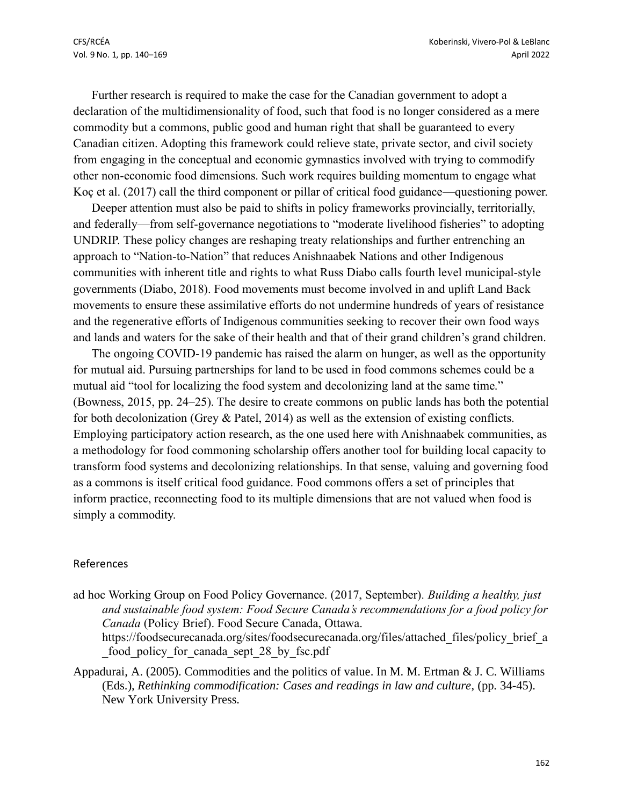Further research is required to make the case for the Canadian government to adopt a declaration of the multidimensionality of food, such that food is no longer considered as a mere commodity but a commons, public good and human right that shall be guaranteed to every Canadian citizen. Adopting this framework could relieve state, private sector, and civil society from engaging in the conceptual and economic gymnastics involved with trying to commodify other non-economic food dimensions. Such work requires building momentum to engage what Koç et al. (2017) call the third component or pillar of critical food guidance—questioning power.

Deeper attention must also be paid to shifts in policy frameworks provincially, territorially, and federally—from self-governance negotiations to "moderate livelihood fisheries" to adopting UNDRIP. These policy changes are reshaping treaty relationships and further entrenching an approach to "Nation-to-Nation" that reduces Anishnaabek Nations and other Indigenous communities with inherent title and rights to what Russ Diabo calls fourth level municipal-style governments (Diabo, 2018). Food movements must become involved in and uplift Land Back movements to ensure these assimilative efforts do not undermine hundreds of years of resistance and the regenerative efforts of Indigenous communities seeking to recover their own food ways and lands and waters for the sake of their health and that of their grand children's grand children.

The ongoing COVID-19 pandemic has raised the alarm on hunger, as well as the opportunity for mutual aid. Pursuing partnerships for land to be used in food commons schemes could be a mutual aid "tool for localizing the food system and decolonizing land at the same time." (Bowness, 2015, pp. 24–25). The desire to create commons on public lands has both the potential for both decolonization (Grey & Patel, 2014) as well as the extension of existing conflicts. Employing participatory action research, as the one used here with Anishnaabek communities, as a methodology for food commoning scholarship offers another tool for building local capacity to transform food systems and decolonizing relationships. In that sense, valuing and governing food as a commons is itself critical food guidance. Food commons offers a set of principles that inform practice, reconnecting food to its multiple dimensions that are not valued when food is simply a commodity.

#### References

ad hoc Working Group on Food Policy Governance. (2017, September)*. Building a healthy, just and sustainable food system: Food Secure Canada's recommendations for a food policy for Canada* (Policy Brief). Food Secure Canada, Ottawa.

https://foodsecurecanada.org/sites/foodsecurecanada.org/files/attached\_files/policy\_brief\_a food policy for canada sept 28 by fsc.pdf

Appadurai, A. (2005). Commodities and the politics of value. In M. M. Ertman & J. C. Williams (Eds.), *Rethinking commodification: Cases and readings in law and culture*, (pp. 34-45). New York University Press.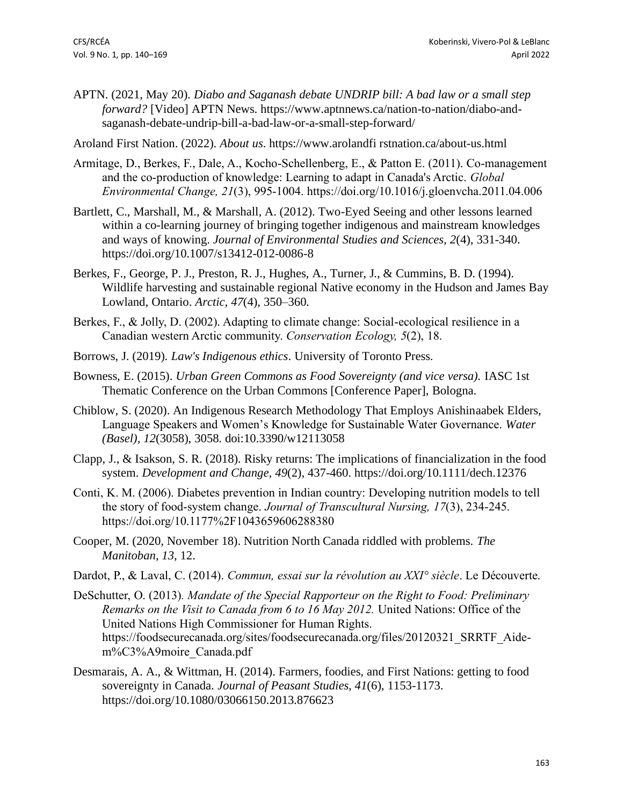APTN. (2021, May 20). *Diabo and Saganash debate UNDRIP bill: A bad law or a small step forward?* [Video] APTN News. https://www.aptnnews.ca/nation-to-nation/diabo-andsaganash-debate-undrip-bill-a-bad-law-or-a-small-step-forward/

Aroland First Nation. (2022). *About us*. https://www.arolandfi rstnation.ca/about-us.html

- Armitage, D., Berkes, F., Dale, A., Kocho-Schellenberg, E., & Patton E. (2011). Co-management and the co-production of knowledge: Learning to adapt in Canada's Arctic. *Global Environmental Change, 21*(3), 995-1004. https://doi.org/10.1016/j.gloenvcha.2011.04.006
- Bartlett, C., Marshall, M., & Marshall, A. (2012). Two-Eyed Seeing and other lessons learned within a co-learning journey of bringing together indigenous and mainstream knowledges and ways of knowing. *Journal of Environmental Studies and Sciences, 2*(4), 331-340. https://doi.org/10.1007/s13412-012-0086-8
- Berkes, F., George, P. J., Preston, R. J., Hughes, A., Turner, J., & Cummins, B. D. (1994). Wildlife harvesting and sustainable regional Native economy in the Hudson and James Bay Lowland, Ontario. *Arctic, 47*(4), 350–360.
- Berkes, F., & Jolly, D. (2002). Adapting to climate change: Social-ecological resilience in a Canadian western Arctic community. *Conservation Ecology, 5*(2), 18.
- Borrows, J. (2019). *Law's Indigenous ethics*. University of Toronto Press.
- Bowness, E. (2015). *Urban Green Commons as Food Sovereignty (and vice versa).* IASC 1st Thematic Conference on the Urban Commons [Conference Paper], Bologna.
- Chiblow, S. (2020). An Indigenous Research Methodology That Employs Anishinaabek Elders, Language Speakers and Women's Knowledge for Sustainable Water Governance. *Water (Basel), 12*(3058), 3058. doi:10.3390/w12113058
- Clapp, J., & Isakson, S. R. (2018). Risky returns: The implications of financialization in the food system. *Development and Change, 49*(2), 437-460. https://doi.org/10.1111/dech.12376
- Conti, K. M. (2006). Diabetes prevention in Indian country: Developing nutrition models to tell the story of food-system change. *Journal of Transcultural Nursing, 17*(3), 234-245. https://doi.org/10.1177%2F1043659606288380
- Cooper, M. (2020, November 18). Nutrition North Canada riddled with problems. *The Manitoban*, *13*, 12.
- Dardot, P., & Laval, C. (2014). *Commun, essai sur la révolution au XXI° siècle*. Le Découverte.
- DeSchutter, O. (2013)*. Mandate of the Special Rapporteur on the Right to Food: Preliminary Remarks on the Visit to Canada from 6 to 16 May 2012.* United Nations: Office of the United Nations High Commissioner for Human Rights. https://foodsecurecanada.org/sites/foodsecurecanada.org/files/20120321\_SRRTF\_Aidem%C3%A9moire\_Canada.pdf
- Desmarais, A. A., & Wittman, H. (2014). Farmers, foodies, and First Nations: getting to food sovereignty in Canada. *Journal of Peasant Studies, 41*(6), 1153-1173. https://doi.org/10.1080/03066150.2013.876623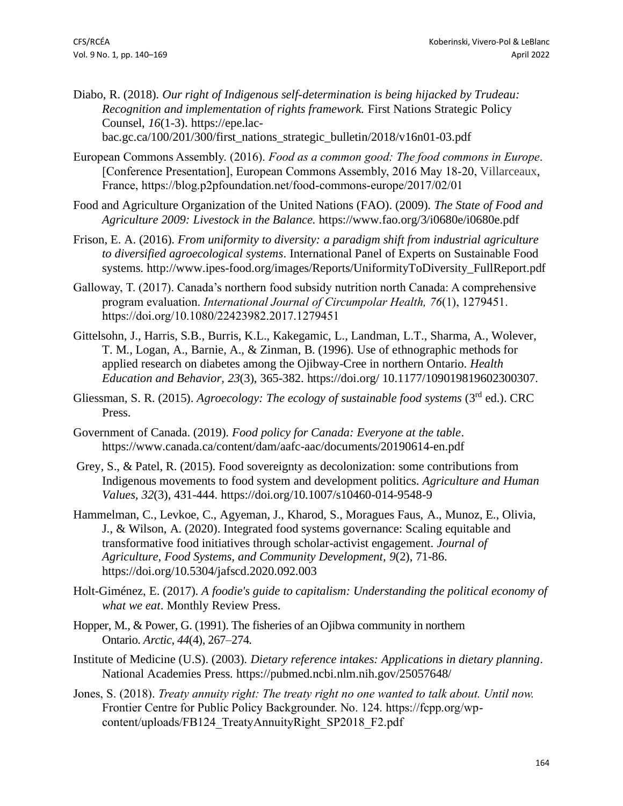- Diabo, R. (2018). *Our right of Indigenous self-determination is being hijacked by Trudeau: Recognition and implementation of rights framework.* First Nations Strategic Policy Counsel, *16*(1-3). https://epe.lacbac.gc.ca/100/201/300/first\_nations\_strategic\_bulletin/2018/v16n01-03.pdf
- European Commons Assembly. (2016). *Food as a common good: The food commons in Europe*. [Conference Presentation], European Commons Assembly, 2016 May 18-20, Villarceaux, France, https://blog.p2pfoundation.net/food-commons-europe/2017/02/01
- Food and Agriculture Organization of the United Nations (FAO). (2009). *The State of Food and Agriculture 2009: Livestock in the Balance.* https://www.fao.org/3/i0680e/i0680e.pdf
- Frison, E. A. (2016). *From uniformity to diversity: a paradigm shift from industrial agriculture to diversified agroecological systems*. International Panel of Experts on Sustainable Food systems. http://www.ipes-food.org/images/Reports/UniformityToDiversity\_FullReport.pdf
- Galloway, T. (2017). Canada's northern food subsidy nutrition north Canada: A comprehensive program evaluation. *International Journal of Circumpolar Health, 76*(1), 1279451. https://doi.org/10.1080/22423982.2017.1279451
- Gittelsohn, J., Harris, S.B., Burris, K.L., Kakegamic, L., Landman, L.T., Sharma, A., Wolever, T. M., Logan, A., Barnie, A., & Zinman, B. (1996). Use of ethnographic methods for applied research on diabetes among the Ojibway-Cree in northern Ontario. *Health Education and Behavior*, *23*(3), 365-382. https://doi.org/ 10.1177/109019819602300307.
- Gliessman, S. R. (2015). *Agroecology: The ecology of sustainable food systems* (3rd ed.). CRC Press.
- Government of Canada. (2019). *Food policy for Canada: Everyone at the table*. https://www.canada.ca/content/dam/aafc-aac/documents/20190614-en.pdf
- Grey, S., & Patel, R. (2015). Food sovereignty as decolonization: some contributions from Indigenous movements to food system and development politics. *Agriculture and Human Values, 32*(3), 431-444. https://doi.org/10.1007/s10460-014-9548-9
- Hammelman, C., Levkoe, C., Agyeman, J., Kharod, S., Moragues Faus, A., Munoz, E., Olivia, J., & Wilson, A. (2020). Integrated food systems governance: Scaling equitable and transformative food initiatives through scholar-activist engagement. *Journal of Agriculture, Food Systems, and Community Development, 9*(2), 71-86. https://doi.org/10.5304/jafscd.2020.092.003
- Holt-Giménez, E. (2017). *A foodie's guide to capitalism: Understanding the political economy of what we eat*. Monthly Review Press.
- Hopper, M., & Power, G. (1991). The fisheries of an Ojibwa community in northern Ontario. *Arctic*, *44*(4), 267–274.
- Institute of Medicine (U.S). (2003). *Dietary reference intakes: Applications in dietary planning*. National Academies Press. https://pubmed.ncbi.nlm.nih.gov/25057648/
- Jones, S. (2018). *Treaty annuity right: The treaty right no one wanted to talk about. Until now.* Frontier Centre for Public Policy Backgrounder. No. 124. https://fcpp.org/wpcontent/uploads/FB124\_TreatyAnnuityRight\_SP2018\_F2.pdf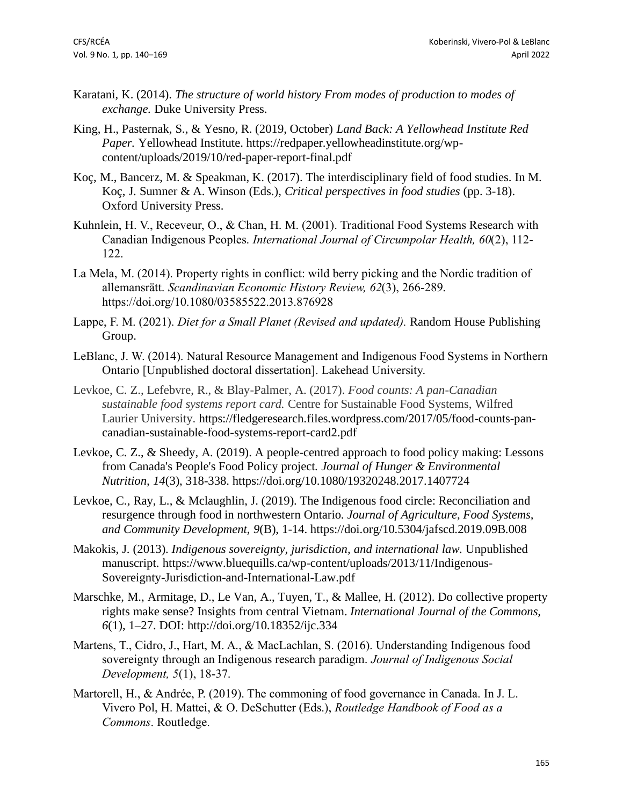- Karatani, K. (2014). *The structure of world history From modes of production to modes of exchange.* Duke University Press.
- King, H., Pasternak, S., & Yesno, R. (2019, October) *Land Back: A Yellowhead Institute Red Paper.* Yellowhead Institute. https://redpaper.yellowheadinstitute.org/wpcontent/uploads/2019/10/red-paper-report-final.pdf
- Koç, M., Bancerz, M. & Speakman, K. (2017). The interdisciplinary field of food studies. In M. Koç, J. Sumner & A. Winson (Eds.), *Critical perspectives in food studies* (pp. 3-18). Oxford University Press.
- Kuhnlein, H. V., Receveur, O., & Chan, H. M. (2001). Traditional Food Systems Research with Canadian Indigenous Peoples. *International Journal of Circumpolar Health, 60*(2), 112- 122.
- La Mela, M. (2014). Property rights in conflict: wild berry picking and the Nordic tradition of allemansrätt. *Scandinavian Economic History Review, 62*(3), 266-289. https://doi.org/10.1080/03585522.2013.876928
- Lappe, F. M. (2021). *Diet for a Small Planet (Revised and updated).* Random House Publishing Group.
- LeBlanc, J. W. (2014). Natural Resource Management and Indigenous Food Systems in Northern Ontario [Unpublished doctoral dissertation]. Lakehead University.
- Levkoe, C. Z., Lefebvre, R., & Blay-Palmer, A. (2017). *Food counts: A pan-Canadian sustainable food systems report card.* Centre for Sustainable Food Systems, Wilfred Laurier University. https://fledgeresearch.files.wordpress.com/2017/05/food-counts-pancanadian-sustainable-food-systems-report-card2.pdf
- Levkoe, C. Z., & Sheedy, A. (2019). A people-centred approach to food policy making: Lessons from Canada's People's Food Policy project. *Journal of Hunger & Environmental Nutrition, 14*(3), 318-338. https://doi.org/10.1080/19320248.2017.1407724
- Levkoe, C., Ray, L., & Mclaughlin, J. (2019). The Indigenous food circle: Reconciliation and resurgence through food in northwestern Ontario. *Journal of Agriculture, Food Systems, and Community Development, 9*(B), 1-14. https://doi.org/10.5304/jafscd.2019.09B.008
- Makokis, J. (2013). *Indigenous sovereignty, jurisdiction, and international law.* Unpublished manuscript. https://www.bluequills.ca/wp-content/uploads/2013/11/Indigenous-Sovereignty-Jurisdiction-and-International-Law.pdf
- Marschke, M., Armitage, D., Le Van, A., Tuyen, T., & Mallee, H. (2012). Do collective property rights make sense? Insights from central Vietnam. *International Journal of the Commons, 6*(1), 1–27. DOI: http://doi.org/10.18352/ijc.334
- Martens, T., Cidro, J., Hart, M. A., & MacLachlan, S. (2016). Understanding Indigenous food sovereignty through an Indigenous research paradigm. *Journal of Indigenous Social Development, 5*(1), 18-37.
- Martorell, H., & Andrée, P. (2019). The commoning of food governance in Canada. In J. L. Vivero Pol, H. Mattei, & O. DeSchutter (Eds.), *Routledge Handbook of Food as a Commons*. Routledge.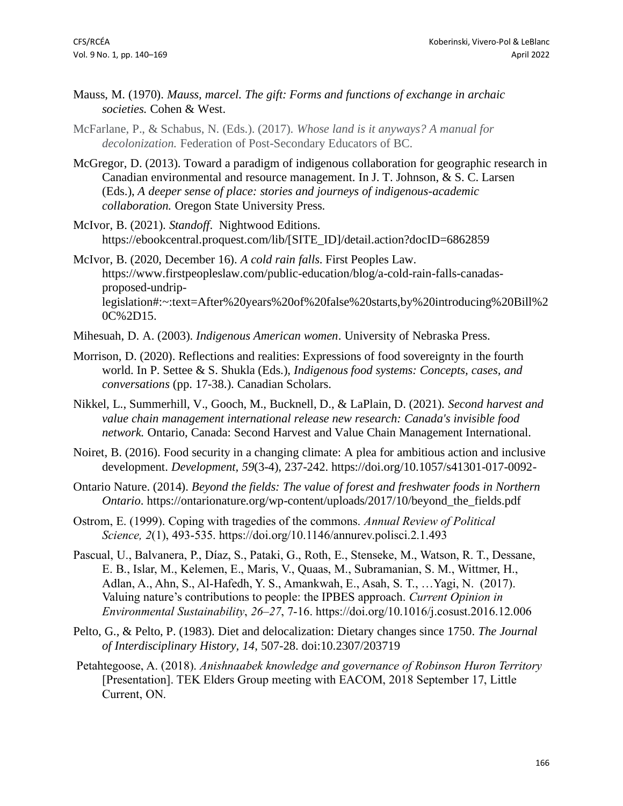- Mauss, M. (1970). *Mauss, marcel. The gift: Forms and functions of exchange in archaic societies.* Cohen & West.
- McFarlane, P., & Schabus, N. (Eds.). (2017). *Whose land is it anyways? A manual for decolonization.* Federation of Post-Secondary Educators of BC.
- McGregor, D. (2013). Toward a paradigm of indigenous collaboration for geographic research in Canadian environmental and resource management. In J. T. Johnson, & S. C. Larsen (Eds.), *A deeper sense of place: stories and journeys of indigenous-academic collaboration.* Oregon State University Press.
- McIvor, B. (2021). *Standoff*. Nightwood Editions. https://ebookcentral.proquest.com/lib/[SITE\_ID]/detail.action?docID=6862859
- McIvor, B. (2020, December 16). *A cold rain falls*. First Peoples Law. https://www.firstpeopleslaw.com/public-education/blog/a-cold-rain-falls-canadasproposed-undriplegislation#:~:text=After%20years%20of%20false%20starts,by%20introducing%20Bill%2 0C%2D15.
- Mihesuah, D. A. (2003). *Indigenous American women*. University of Nebraska Press.
- Morrison, D. (2020). Reflections and realities: Expressions of food sovereignty in the fourth world. In P. Settee & S. Shukla (Eds.), *Indigenous food systems: Concepts, cases, and conversations* (pp. 17-38.). Canadian Scholars.
- Nikkel, L., Summerhill, V., Gooch, M., Bucknell, D., & LaPlain, D. (2021). *Second harvest and value chain management international release new research: Canada's invisible food network.* Ontario, Canada: Second Harvest and Value Chain Management International.
- Noiret, B. (2016). Food security in a changing climate: A plea for ambitious action and inclusive development. *Development, 59*(3-4), 237-242. https://doi.org/10.1057/s41301-017-0092-
- Ontario Nature. (2014). *Beyond the fields: The value of forest and freshwater foods in Northern Ontario*. https://ontarionature.org/wp-content/uploads/2017/10/beyond\_the\_fields.pdf
- Ostrom, E. (1999). Coping with tragedies of the commons. *Annual Review of Political Science, 2*(1), 493-535. https://doi.org/10.1146/annurev.polisci.2.1.493
- Pascual, U., Balvanera, P., Díaz, S., Pataki, G., Roth, E., Stenseke, M., Watson, R. T., Dessane, E. B., Islar, M., Kelemen, E., Maris, V., Quaas, M., Subramanian, S. M., Wittmer, H., Adlan, A., Ahn, S., Al-Hafedh, Y. S., Amankwah, E., Asah, S. T., …Yagi, N. (2017). Valuing nature's contributions to people: the IPBES approach. *Current Opinion in Environmental Sustainability*, *26–27*, 7-16. https://doi.org/10.1016/j.cosust.2016.12.006
- Pelto, G., & Pelto, P. (1983). Diet and delocalization: Dietary changes since 1750. *The Journal of Interdisciplinary History, 14*, 507-28. doi:10.2307/203719
- Petahtegoose, A. (2018). *Anishnaabek knowledge and governance of Robinson Huron Territory* [Presentation]. TEK Elders Group meeting with EACOM, 2018 September 17, Little Current, ON.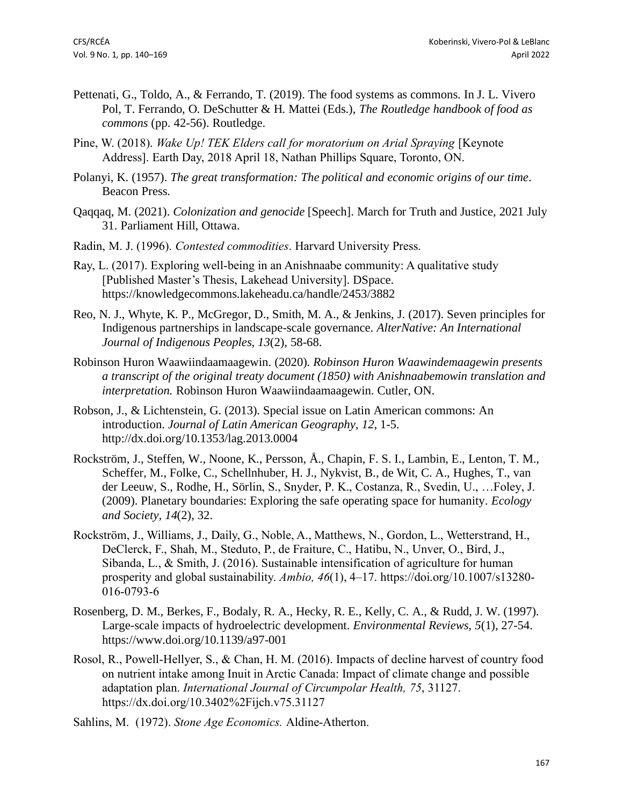- Pettenati, G., Toldo, A., & Ferrando, T. (2019). The food systems as commons. In J. L. Vivero Pol, T. Ferrando, O. DeSchutter & H. Mattei (Eds.), *The Routledge handbook of food as commons* (pp. 42-56). Routledge.
- Pine, W. (2018). *Wake Up! TEK Elders call for moratorium on Arial Spraying* [Keynote Address]. Earth Day, 2018 April 18, Nathan Phillips Square, Toronto, ON.
- Polanyi, K. (1957). *The great transformation: The political and economic origins of our time*. Beacon Press.
- Qaqqaq, M. (2021). *Colonization and genocide* [Speech]. March for Truth and Justice, 2021 July 31. Parliament Hill, Ottawa.
- Radin, M. J. (1996). *Contested commodities*. Harvard University Press.
- Ray, L. (2017). Exploring well-being in an Anishnaabe community: A qualitative study [Published Master's Thesis, Lakehead University]. DSpace. https://knowledgecommons.lakeheadu.ca/handle/2453/3882
- Reo, N. J., Whyte, K. P., McGregor, D., Smith, M. A., & Jenkins, J. (2017). Seven principles for Indigenous partnerships in landscape-scale governance. *AlterNative: An International Journal of Indigenous Peoples, 13*(2), 58-68.
- Robinson Huron Waawiindaamaagewin. (2020). *Robinson Huron Waawindemaagewin presents a transcript of the original treaty document (1850) with Anishnaabemowin translation and interpretation.* Robinson Huron Waawiindaamaagewin. Cutler, ON.
- Robson, J., & Lichtenstein, G. (2013). Special issue on Latin American commons: An introduction. *Journal of Latin American Geography, 12*, 1-5. http://dx.doi.org/10.1353/lag.2013.0004
- Rockström, J., Steffen, W., Noone, K., Persson, Å., Chapin, F. S. I., Lambin, E., Lenton, T. M., Scheffer, M., Folke, C., Schellnhuber, H. J., Nykvist, B., de Wit, C. A., Hughes, T., van der Leeuw, S., Rodhe, H., Sörlin, S., Snyder, P. K., Costanza, R., Svedin, U., …Foley, J. (2009). Planetary boundaries: Exploring the safe operating space for humanity. *Ecology and Society, 14*(2), 32.
- Rockström, J., Williams, J., Daily, G., Noble, A., Matthews, N., Gordon, L., Wetterstrand, H., DeClerck, F., Shah, M., Steduto, P., de Fraiture, C., Hatibu, N., Unver, O., Bird, J., Sibanda, L., & Smith, J. (2016). Sustainable intensification of agriculture for human prosperity and global sustainability. *Ambio, 46*(1), 4–17. https://doi.org/10.1007/s13280- 016-0793-6
- Rosenberg, D. M., Berkes, F., Bodaly, R. A., Hecky, R. E., Kelly, C. A., & Rudd, J. W. (1997). Large-scale impacts of hydroelectric development. *Environmental Reviews, 5*(1), 27-54. https://www.doi.org/10.1139/a97-001
- Rosol, R., Powell-Hellyer, S., & Chan, H. M. (2016). Impacts of decline harvest of country food on nutrient intake among Inuit in Arctic Canada: Impact of climate change and possible adaptation plan. *International Journal of Circumpolar Health, 75*, 31127. https://dx.doi.org/10.3402%2Fijch.v75.31127
- Sahlins, M. (1972). *Stone Age Economics.* Aldine-Atherton.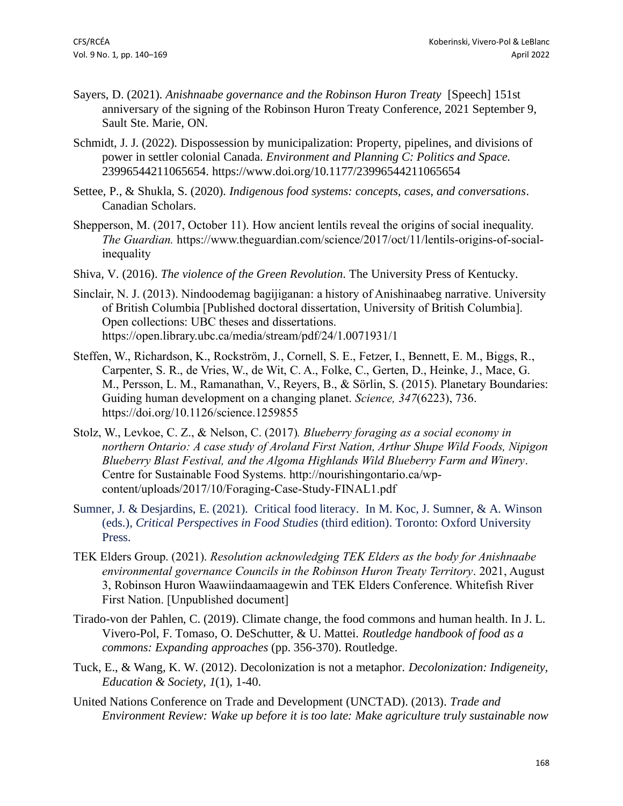- Sayers, D. (2021). *Anishnaabe governance and the Robinson Huron Treaty* [Speech] 151st anniversary of the signing of the Robinson Huron Treaty Conference, 2021 September 9, Sault Ste. Marie, ON.
- Schmidt, J. J. (2022). Dispossession by municipalization: Property, pipelines, and divisions of power in settler colonial Canada. *Environment and Planning C: Politics and Space.*  23996544211065654. https://www.doi.org/10.1177/23996544211065654
- Settee, P., & Shukla, S. (2020). *Indigenous food systems: concepts, cases, and conversations*. Canadian Scholars.
- Shepperson, M. (2017, October 11). How ancient lentils reveal the origins of social inequality. *The Guardian.* https://www.theguardian.com/science/2017/oct/11/lentils-origins-of-socialinequality
- Shiva, V. (2016). *The violence of the Green Revolution*. The University Press of Kentucky.
- Sinclair, N. J. (2013). Nindoodemag bagijiganan: a history of Anishinaabeg narrative. University of British Columbia [Published doctoral dissertation, University of British Columbia]. Open collections: UBC theses and dissertations. https://open.library.ubc.ca/media/stream/pdf/24/1.0071931/1
- Steffen, W., Richardson, K., Rockström, J., Cornell, S. E., Fetzer, I., Bennett, E. M., Biggs, R., Carpenter, S. R., de Vries, W., de Wit, C. A., Folke, C., Gerten, D., Heinke, J., Mace, G. M., Persson, L. M., Ramanathan, V., Reyers, B., & Sörlin, S. (2015). Planetary Boundaries: Guiding human development on a changing planet. *Science, 347*(6223), 736. https://doi.org/10.1126/science.1259855
- Stolz, W., Levkoe, C. Z., & Nelson, C. (2017)*. Blueberry foraging as a social economy in northern Ontario: A case study of Aroland First Nation, Arthur Shupe Wild Foods, Nipigon Blueberry Blast Festival, and the Algoma Highlands Wild Blueberry Farm and Winery*. Centre for Sustainable Food Systems. http://nourishingontario.ca/wpcontent/uploads/2017/10/Foraging-Case-Study-FINAL1.pdf
- Sumner, J. & Desjardins, E. (2021). Critical food literacy. In M. Koc, J. Sumner, & A. Winson (eds.), *Critical Perspectives in Food Studies* (third edition). Toronto: Oxford University Press.
- TEK Elders Group. (2021). *Resolution acknowledging TEK Elders as the body for Anishnaabe environmental governance Councils in the Robinson Huron Treaty Territory*. 2021, August 3, Robinson Huron Waawiindaamaagewin and TEK Elders Conference. Whitefish River First Nation. [Unpublished document]
- Tirado-von der Pahlen, C. (2019). Climate change, the food commons and human health. In J. L. Vivero-Pol, F. Tomaso, O. DeSchutter, & U. Mattei. *Routledge handbook of food as a commons: Expanding approaches* (pp. 356-370). Routledge.
- Tuck, E., & Wang, K. W. (2012). Decolonization is not a metaphor. *Decolonization: Indigeneity, Education & Society, 1*(1), 1-40.
- United Nations Conference on Trade and Development (UNCTAD). (2013). *Trade and Environment Review: Wake up before it is too late: Make agriculture truly sustainable now*